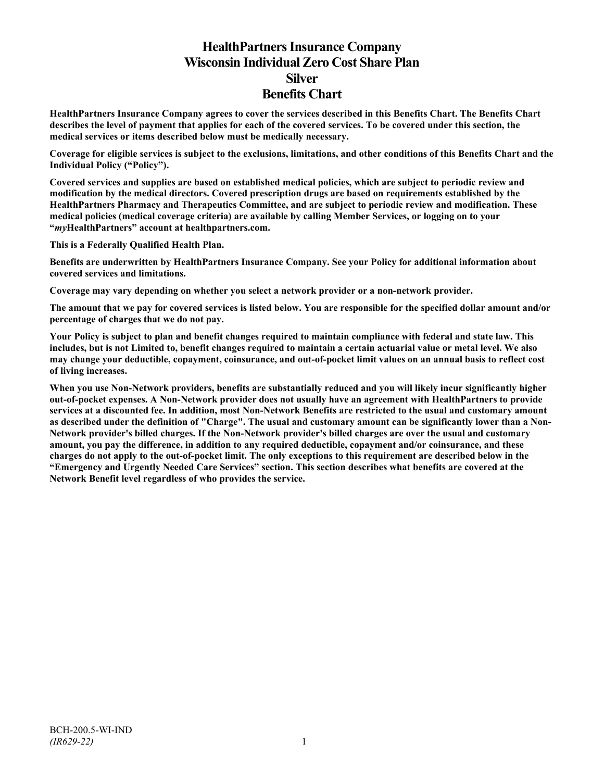# **HealthPartners Insurance Company Wisconsin Individual Zero Cost Share Plan Silver Benefits Chart**

**HealthPartners Insurance Company agrees to cover the services described in this Benefits Chart. The Benefits Chart describes the level of payment that applies for each of the covered services. To be covered under this section, the medical services or items described below must be medically necessary.**

**Coverage for eligible services is subject to the exclusions, limitations, and other conditions of this Benefits Chart and the Individual Policy ("Policy").**

**Covered services and supplies are based on established medical policies, which are subject to periodic review and modification by the medical directors. Covered prescription drugs are based on requirements established by the HealthPartners Pharmacy and Therapeutics Committee, and are subject to periodic review and modification. These medical policies (medical coverage criteria) are available by calling Member Services, or logging on to your "***my***HealthPartners" account at [healthpartners.com.](http://www.healthpartners.com/)**

**This is a Federally Qualified Health Plan.**

**Benefits are underwritten by HealthPartners Insurance Company. See your Policy for additional information about covered services and limitations.**

**Coverage may vary depending on whether you select a network provider or a non-network provider.**

**The amount that we pay for covered services is listed below. You are responsible for the specified dollar amount and/or percentage of charges that we do not pay.**

**Your Policy is subject to plan and benefit changes required to maintain compliance with federal and state law. This includes, but is not Limited to, benefit changes required to maintain a certain actuarial value or metal level. We also may change your deductible, copayment, coinsurance, and out-of-pocket limit values on an annual basis to reflect cost of living increases.**

**When you use Non-Network providers, benefits are substantially reduced and you will likely incur significantly higher out-of-pocket expenses. A Non-Network provider does not usually have an agreement with HealthPartners to provide services at a discounted fee. In addition, most Non-Network Benefits are restricted to the usual and customary amount as described under the definition of "Charge". The usual and customary amount can be significantly lower than a Non-Network provider's billed charges. If the Non-Network provider's billed charges are over the usual and customary amount, you pay the difference, in addition to any required deductible, copayment and/or coinsurance, and these charges do not apply to the out-of-pocket limit. The only exceptions to this requirement are described below in the "Emergency and Urgently Needed Care Services" section. This section describes what benefits are covered at the Network Benefit level regardless of who provides the service.**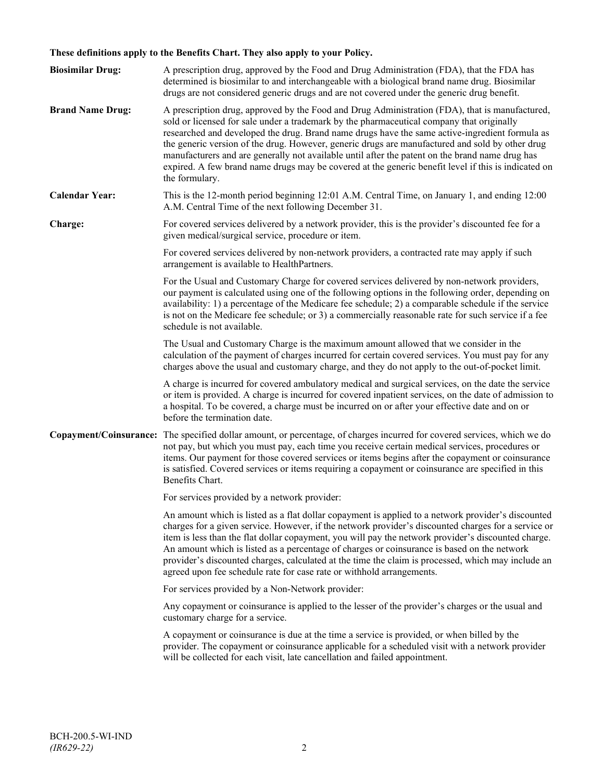## **These definitions apply to the Benefits Chart. They also apply to your Policy.**

| <b>Biosimilar Drug:</b> | A prescription drug, approved by the Food and Drug Administration (FDA), that the FDA has<br>determined is biosimilar to and interchangeable with a biological brand name drug. Biosimilar<br>drugs are not considered generic drugs and are not covered under the generic drug benefit.                                                                                                                                                                                                                                                                                                                                     |
|-------------------------|------------------------------------------------------------------------------------------------------------------------------------------------------------------------------------------------------------------------------------------------------------------------------------------------------------------------------------------------------------------------------------------------------------------------------------------------------------------------------------------------------------------------------------------------------------------------------------------------------------------------------|
| <b>Brand Name Drug:</b> | A prescription drug, approved by the Food and Drug Administration (FDA), that is manufactured,<br>sold or licensed for sale under a trademark by the pharmaceutical company that originally<br>researched and developed the drug. Brand name drugs have the same active-ingredient formula as<br>the generic version of the drug. However, generic drugs are manufactured and sold by other drug<br>manufacturers and are generally not available until after the patent on the brand name drug has<br>expired. A few brand name drugs may be covered at the generic benefit level if this is indicated on<br>the formulary. |
| <b>Calendar Year:</b>   | This is the 12-month period beginning 12:01 A.M. Central Time, on January 1, and ending 12:00<br>A.M. Central Time of the next following December 31.                                                                                                                                                                                                                                                                                                                                                                                                                                                                        |
| Charge:                 | For covered services delivered by a network provider, this is the provider's discounted fee for a<br>given medical/surgical service, procedure or item.                                                                                                                                                                                                                                                                                                                                                                                                                                                                      |
|                         | For covered services delivered by non-network providers, a contracted rate may apply if such<br>arrangement is available to HealthPartners.                                                                                                                                                                                                                                                                                                                                                                                                                                                                                  |
|                         | For the Usual and Customary Charge for covered services delivered by non-network providers,<br>our payment is calculated using one of the following options in the following order, depending on<br>availability: 1) a percentage of the Medicare fee schedule; 2) a comparable schedule if the service<br>is not on the Medicare fee schedule; or 3) a commercially reasonable rate for such service if a fee<br>schedule is not available.                                                                                                                                                                                 |
|                         | The Usual and Customary Charge is the maximum amount allowed that we consider in the<br>calculation of the payment of charges incurred for certain covered services. You must pay for any<br>charges above the usual and customary charge, and they do not apply to the out-of-pocket limit.                                                                                                                                                                                                                                                                                                                                 |
|                         | A charge is incurred for covered ambulatory medical and surgical services, on the date the service<br>or item is provided. A charge is incurred for covered inpatient services, on the date of admission to<br>a hospital. To be covered, a charge must be incurred on or after your effective date and on or<br>before the termination date.                                                                                                                                                                                                                                                                                |
|                         | Copayment/Coinsurance: The specified dollar amount, or percentage, of charges incurred for covered services, which we do<br>not pay, but which you must pay, each time you receive certain medical services, procedures or<br>items. Our payment for those covered services or items begins after the copayment or coinsurance<br>is satisfied. Covered services or items requiring a copayment or coinsurance are specified in this<br>Benefits Chart.                                                                                                                                                                      |
|                         | For services provided by a network provider:                                                                                                                                                                                                                                                                                                                                                                                                                                                                                                                                                                                 |
|                         | An amount which is listed as a flat dollar copayment is applied to a network provider's discounted<br>charges for a given service. However, if the network provider's discounted charges for a service or<br>item is less than the flat dollar copayment, you will pay the network provider's discounted charge.<br>An amount which is listed as a percentage of charges or coinsurance is based on the network<br>provider's discounted charges, calculated at the time the claim is processed, which may include an<br>agreed upon fee schedule rate for case rate or withhold arrangements.                               |
|                         | For services provided by a Non-Network provider:                                                                                                                                                                                                                                                                                                                                                                                                                                                                                                                                                                             |
|                         | Any copayment or coinsurance is applied to the lesser of the provider's charges or the usual and<br>customary charge for a service.                                                                                                                                                                                                                                                                                                                                                                                                                                                                                          |
|                         | A copayment or coinsurance is due at the time a service is provided, or when billed by the<br>provider. The copayment or coinsurance applicable for a scheduled visit with a network provider<br>will be collected for each visit, late cancellation and failed appointment.                                                                                                                                                                                                                                                                                                                                                 |
|                         |                                                                                                                                                                                                                                                                                                                                                                                                                                                                                                                                                                                                                              |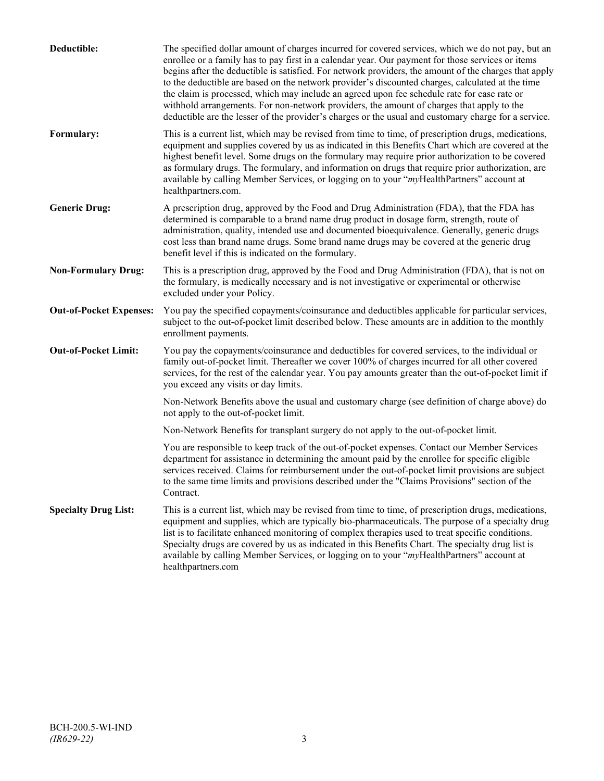| Deductible:                    | The specified dollar amount of charges incurred for covered services, which we do not pay, but an<br>enrollee or a family has to pay first in a calendar year. Our payment for those services or items<br>begins after the deductible is satisfied. For network providers, the amount of the charges that apply<br>to the deductible are based on the network provider's discounted charges, calculated at the time<br>the claim is processed, which may include an agreed upon fee schedule rate for case rate or<br>withhold arrangements. For non-network providers, the amount of charges that apply to the<br>deductible are the lesser of the provider's charges or the usual and customary charge for a service. |
|--------------------------------|-------------------------------------------------------------------------------------------------------------------------------------------------------------------------------------------------------------------------------------------------------------------------------------------------------------------------------------------------------------------------------------------------------------------------------------------------------------------------------------------------------------------------------------------------------------------------------------------------------------------------------------------------------------------------------------------------------------------------|
| Formulary:                     | This is a current list, which may be revised from time to time, of prescription drugs, medications,<br>equipment and supplies covered by us as indicated in this Benefits Chart which are covered at the<br>highest benefit level. Some drugs on the formulary may require prior authorization to be covered<br>as formulary drugs. The formulary, and information on drugs that require prior authorization, are<br>available by calling Member Services, or logging on to your "myHealthPartners" account at<br>healthpartners.com.                                                                                                                                                                                   |
| <b>Generic Drug:</b>           | A prescription drug, approved by the Food and Drug Administration (FDA), that the FDA has<br>determined is comparable to a brand name drug product in dosage form, strength, route of<br>administration, quality, intended use and documented bioequivalence. Generally, generic drugs<br>cost less than brand name drugs. Some brand name drugs may be covered at the generic drug<br>benefit level if this is indicated on the formulary.                                                                                                                                                                                                                                                                             |
| <b>Non-Formulary Drug:</b>     | This is a prescription drug, approved by the Food and Drug Administration (FDA), that is not on<br>the formulary, is medically necessary and is not investigative or experimental or otherwise<br>excluded under your Policy.                                                                                                                                                                                                                                                                                                                                                                                                                                                                                           |
| <b>Out-of-Pocket Expenses:</b> | You pay the specified copayments/coinsurance and deductibles applicable for particular services,<br>subject to the out-of-pocket limit described below. These amounts are in addition to the monthly<br>enrollment payments.                                                                                                                                                                                                                                                                                                                                                                                                                                                                                            |
| <b>Out-of-Pocket Limit:</b>    | You pay the copayments/coinsurance and deductibles for covered services, to the individual or<br>family out-of-pocket limit. Thereafter we cover 100% of charges incurred for all other covered<br>services, for the rest of the calendar year. You pay amounts greater than the out-of-pocket limit if<br>you exceed any visits or day limits.                                                                                                                                                                                                                                                                                                                                                                         |
|                                | Non-Network Benefits above the usual and customary charge (see definition of charge above) do<br>not apply to the out-of-pocket limit.                                                                                                                                                                                                                                                                                                                                                                                                                                                                                                                                                                                  |
|                                | Non-Network Benefits for transplant surgery do not apply to the out-of-pocket limit.                                                                                                                                                                                                                                                                                                                                                                                                                                                                                                                                                                                                                                    |
|                                | You are responsible to keep track of the out-of-pocket expenses. Contact our Member Services<br>department for assistance in determining the amount paid by the enrollee for specific eligible<br>services received. Claims for reimbursement under the out-of-pocket limit provisions are subject<br>to the same time limits and provisions described under the "Claims Provisions" section of the<br>Contract.                                                                                                                                                                                                                                                                                                        |
| <b>Specialty Drug List:</b>    | This is a current list, which may be revised from time to time, of prescription drugs, medications,<br>equipment and supplies, which are typically bio-pharmaceuticals. The purpose of a specialty drug<br>list is to facilitate enhanced monitoring of complex therapies used to treat specific conditions.<br>Specialty drugs are covered by us as indicated in this Benefits Chart. The specialty drug list is<br>available by calling Member Services, or logging on to your "myHealthPartners" account at<br>healthpartners.com                                                                                                                                                                                    |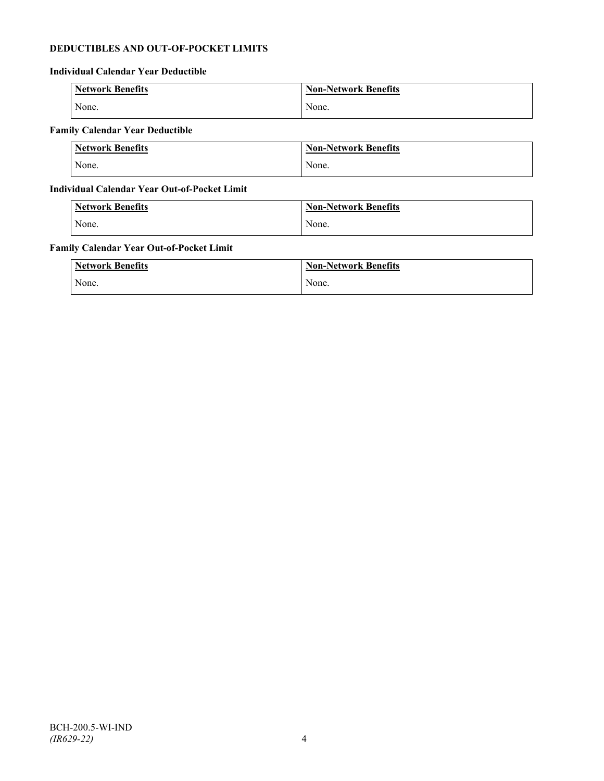## **DEDUCTIBLES AND OUT-OF-POCKET LIMITS**

## **Individual Calendar Year Deductible**

| <b>Network Benefits</b> | <b>Non-Network Benefits</b> |
|-------------------------|-----------------------------|
| None.                   | None.                       |

## **Family Calendar Year Deductible**

| <b>Network Benefits</b> | <b>Non-Network Benefits</b> |
|-------------------------|-----------------------------|
| None.                   | None.                       |

## **Individual Calendar Year Out-of-Pocket Limit**

| Network Benefits | <b>Non-Network Benefits</b> |
|------------------|-----------------------------|
| None.            | None.                       |

## **Family Calendar Year Out-of-Pocket Limit**

| <b>Network Benefits</b> | <b>Non-Network Benefits</b> |
|-------------------------|-----------------------------|
| None.                   | None.                       |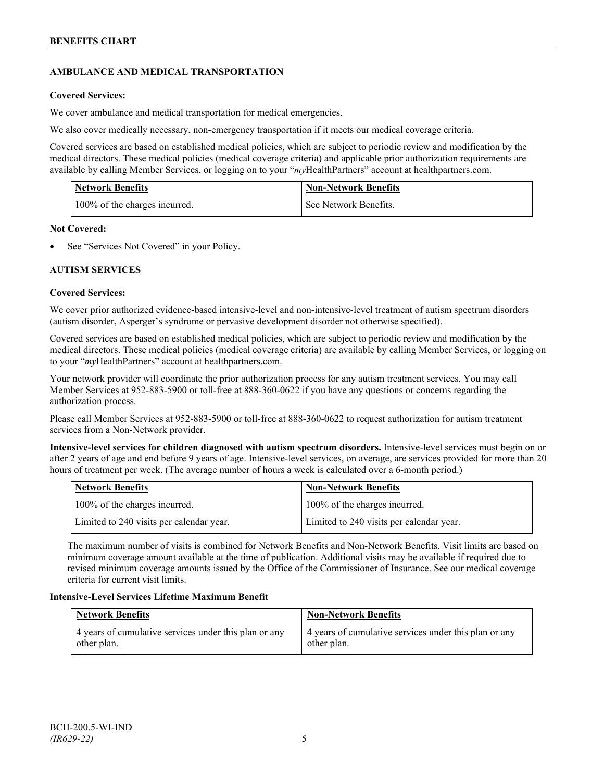## **AMBULANCE AND MEDICAL TRANSPORTATION**

## **Covered Services:**

We cover ambulance and medical transportation for medical emergencies.

We also cover medically necessary, non-emergency transportation if it meets our medical coverage criteria.

Covered services are based on established medical policies, which are subject to periodic review and modification by the medical directors. These medical policies (medical coverage criteria) and applicable prior authorization requirements are available by calling Member Services, or logging on to your "*my*HealthPartners" account a[t healthpartners.com.](http://www.healthpartners.com/)

| <b>Network Benefits</b>       | <b>Non-Network Benefits</b> |
|-------------------------------|-----------------------------|
| 100% of the charges incurred. | See Network Benefits.       |

## **Not Covered:**

See "Services Not Covered" in your Policy.

## **AUTISM SERVICES**

## **Covered Services:**

We cover prior authorized evidence-based intensive-level and non-intensive-level treatment of autism spectrum disorders (autism disorder, Asperger's syndrome or pervasive development disorder not otherwise specified).

Covered services are based on established medical policies, which are subject to periodic review and modification by the medical directors. These medical policies (medical coverage criteria) are available by calling Member Services, or logging on to your "*my*HealthPartners" account at [healthpartners.com.](http://www.healthpartners.com/)

Your network provider will coordinate the prior authorization process for any autism treatment services. You may call Member Services at 952-883-5900 or toll-free at 888-360-0622 if you have any questions or concerns regarding the authorization process.

Please call Member Services at 952-883-5900 or toll-free at 888-360-0622 to request authorization for autism treatment services from a Non-Network provider.

**Intensive-level services for children diagnosed with autism spectrum disorders.** Intensive-level services must begin on or after 2 years of age and end before 9 years of age. Intensive-level services, on average, are services provided for more than 20 hours of treatment per week. (The average number of hours a week is calculated over a 6-month period.)

| Network Benefits                         | <b>Non-Network Benefits</b>              |
|------------------------------------------|------------------------------------------|
| 100% of the charges incurred.            | 100% of the charges incurred.            |
| Limited to 240 visits per calendar year. | Limited to 240 visits per calendar year. |

The maximum number of visits is combined for Network Benefits and Non-Network Benefits. Visit limits are based on minimum coverage amount available at the time of publication. Additional visits may be available if required due to revised minimum coverage amounts issued by the Office of the Commissioner of Insurance. See our medical coverage criteria for current visit limits.

## **Intensive-Level Services Lifetime Maximum Benefit**

| <b>Network Benefits</b>                               | <b>Non-Network Benefits</b>                           |
|-------------------------------------------------------|-------------------------------------------------------|
| 4 years of cumulative services under this plan or any | 4 years of cumulative services under this plan or any |
| other plan.                                           | other plan.                                           |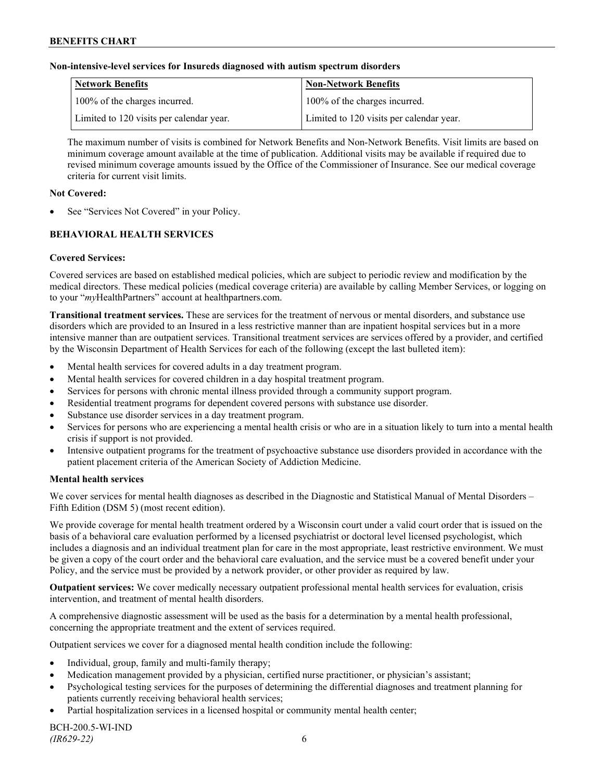### **Non-intensive-level services for Insureds diagnosed with autism spectrum disorders**

| Network Benefits                         | <b>Non-Network Benefits</b>              |
|------------------------------------------|------------------------------------------|
| 100% of the charges incurred.            | 100% of the charges incurred.            |
| Limited to 120 visits per calendar year. | Limited to 120 visits per calendar year. |

The maximum number of visits is combined for Network Benefits and Non-Network Benefits. Visit limits are based on minimum coverage amount available at the time of publication. Additional visits may be available if required due to revised minimum coverage amounts issued by the Office of the Commissioner of Insurance. See our medical coverage criteria for current visit limits.

### **Not Covered:**

See "Services Not Covered" in your Policy.

## **BEHAVIORAL HEALTH SERVICES**

## **Covered Services:**

Covered services are based on established medical policies, which are subject to periodic review and modification by the medical directors. These medical policies (medical coverage criteria) are available by calling Member Services, or logging on to your "*my*HealthPartners" account at [healthpartners.com.](http://www.healthpartners.com/)

**Transitional treatment services.** These are services for the treatment of nervous or mental disorders, and substance use disorders which are provided to an Insured in a less restrictive manner than are inpatient hospital services but in a more intensive manner than are outpatient services. Transitional treatment services are services offered by a provider, and certified by the Wisconsin Department of Health Services for each of the following (except the last bulleted item):

- Mental health services for covered adults in a day treatment program.
- Mental health services for covered children in a day hospital treatment program.
- Services for persons with chronic mental illness provided through a community support program.
- Residential treatment programs for dependent covered persons with substance use disorder.
- Substance use disorder services in a day treatment program.
- Services for persons who are experiencing a mental health crisis or who are in a situation likely to turn into a mental health crisis if support is not provided.
- Intensive outpatient programs for the treatment of psychoactive substance use disorders provided in accordance with the patient placement criteria of the American Society of Addiction Medicine.

## **Mental health services**

We cover services for mental health diagnoses as described in the Diagnostic and Statistical Manual of Mental Disorders – Fifth Edition (DSM 5) (most recent edition).

We provide coverage for mental health treatment ordered by a Wisconsin court under a valid court order that is issued on the basis of a behavioral care evaluation performed by a licensed psychiatrist or doctoral level licensed psychologist, which includes a diagnosis and an individual treatment plan for care in the most appropriate, least restrictive environment. We must be given a copy of the court order and the behavioral care evaluation, and the service must be a covered benefit under your Policy, and the service must be provided by a network provider, or other provider as required by law.

**Outpatient services:** We cover medically necessary outpatient professional mental health services for evaluation, crisis intervention, and treatment of mental health disorders.

A comprehensive diagnostic assessment will be used as the basis for a determination by a mental health professional, concerning the appropriate treatment and the extent of services required.

Outpatient services we cover for a diagnosed mental health condition include the following:

- Individual, group, family and multi-family therapy;
- Medication management provided by a physician, certified nurse practitioner, or physician's assistant;
- Psychological testing services for the purposes of determining the differential diagnoses and treatment planning for patients currently receiving behavioral health services;
- Partial hospitalization services in a licensed hospital or community mental health center;

BCH-200.5-WI-IND *(IR629-22)* 6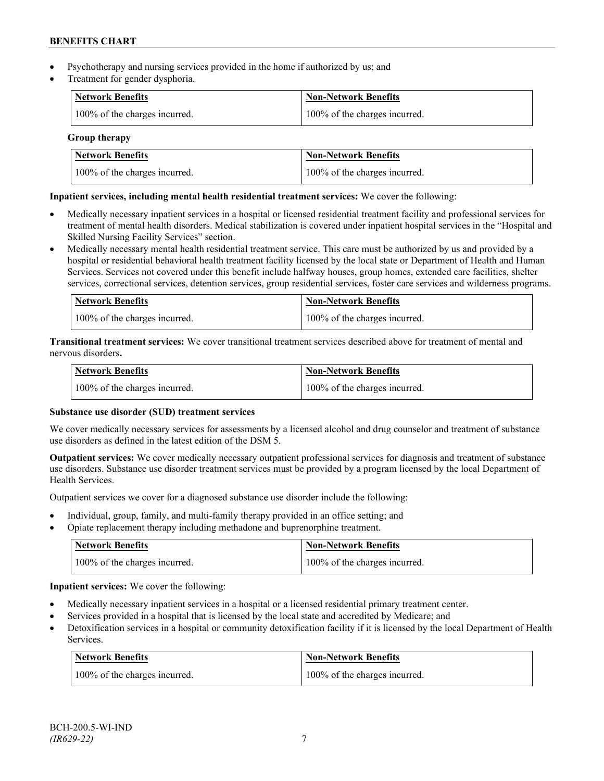- Psychotherapy and nursing services provided in the home if authorized by us; and
- Treatment for gender dysphoria.

| Network Benefits              | <b>Non-Network Benefits</b>   |
|-------------------------------|-------------------------------|
| 100% of the charges incurred. | 100% of the charges incurred. |

## **Group therapy**

| Network Benefits              | <b>Non-Network Benefits</b>   |
|-------------------------------|-------------------------------|
| 100% of the charges incurred. | 100% of the charges incurred. |

## **Inpatient services, including mental health residential treatment services:** We cover the following:

- Medically necessary inpatient services in a hospital or licensed residential treatment facility and professional services for treatment of mental health disorders. Medical stabilization is covered under inpatient hospital services in the "Hospital and Skilled Nursing Facility Services" section.
- Medically necessary mental health residential treatment service. This care must be authorized by us and provided by a hospital or residential behavioral health treatment facility licensed by the local state or Department of Health and Human Services. Services not covered under this benefit include halfway houses, group homes, extended care facilities, shelter services, correctional services, detention services, group residential services, foster care services and wilderness programs.

| Network Benefits              | Non-Network Benefits          |
|-------------------------------|-------------------------------|
| 100% of the charges incurred. | 100% of the charges incurred. |

**Transitional treatment services:** We cover transitional treatment services described above for treatment of mental and nervous disorders**.**

| <b>Network Benefits</b>       | Non-Network Benefits          |
|-------------------------------|-------------------------------|
| 100% of the charges incurred. | 100% of the charges incurred. |

## **Substance use disorder (SUD) treatment services**

We cover medically necessary services for assessments by a licensed alcohol and drug counselor and treatment of substance use disorders as defined in the latest edition of the DSM 5.

**Outpatient services:** We cover medically necessary outpatient professional services for diagnosis and treatment of substance use disorders. Substance use disorder treatment services must be provided by a program licensed by the local Department of Health Services.

Outpatient services we cover for a diagnosed substance use disorder include the following:

- Individual, group, family, and multi-family therapy provided in an office setting; and
- Opiate replacement therapy including methadone and buprenorphine treatment.

| <b>Network Benefits</b>       | <b>Non-Network Benefits</b>   |
|-------------------------------|-------------------------------|
| 100% of the charges incurred. | 100% of the charges incurred. |

**Inpatient services:** We cover the following:

- Medically necessary inpatient services in a hospital or a licensed residential primary treatment center.
- Services provided in a hospital that is licensed by the local state and accredited by Medicare; and
- Detoxification services in a hospital or community detoxification facility if it is licensed by the local Department of Health Services.

| <b>Network Benefits</b>       | <b>Non-Network Benefits</b>   |
|-------------------------------|-------------------------------|
| 100% of the charges incurred. | 100% of the charges incurred. |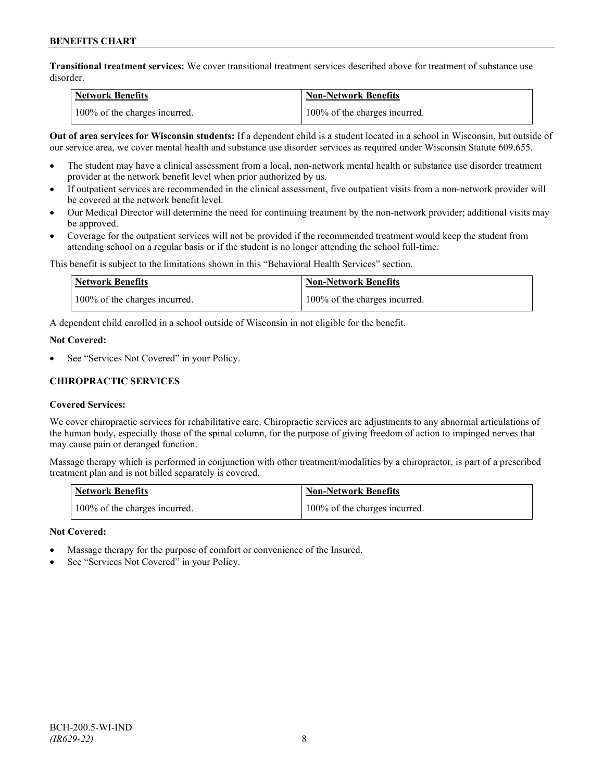**Transitional treatment services:** We cover transitional treatment services described above for treatment of substance use disorder.

| <b>Network Benefits</b>       | <b>Non-Network Benefits</b>   |
|-------------------------------|-------------------------------|
| 100% of the charges incurred. | 100% of the charges incurred. |

**Out of area services for Wisconsin students:** If a dependent child is a student located in a school in Wisconsin, but outside of our service area, we cover mental health and substance use disorder services as required under Wisconsin Statute 609.655.

- The student may have a clinical assessment from a local, non-network mental health or substance use disorder treatment provider at the network benefit level when prior authorized by us.
- If outpatient services are recommended in the clinical assessment, five outpatient visits from a non-network provider will be covered at the network benefit level.
- Our Medical Director will determine the need for continuing treatment by the non-network provider; additional visits may be approved.
- Coverage for the outpatient services will not be provided if the recommended treatment would keep the student from attending school on a regular basis or if the student is no longer attending the school full-time.

This benefit is subject to the limitations shown in this "Behavioral Health Services" section.

| Network Benefits              | <b>Non-Network Benefits</b>   |
|-------------------------------|-------------------------------|
| 100% of the charges incurred. | 100% of the charges incurred. |

A dependent child enrolled in a school outside of Wisconsin in not eligible for the benefit.

#### **Not Covered:**

See "Services Not Covered" in your Policy.

## **CHIROPRACTIC SERVICES**

## **Covered Services:**

We cover chiropractic services for rehabilitative care. Chiropractic services are adjustments to any abnormal articulations of the human body, especially those of the spinal column, for the purpose of giving freedom of action to impinged nerves that may cause pain or deranged function.

Massage therapy which is performed in conjunction with other treatment/modalities by a chiropractor, is part of a prescribed treatment plan and is not billed separately is covered.

| <b>Network Benefits</b>       | 'Non-Network Benefits         |
|-------------------------------|-------------------------------|
| 100% of the charges incurred. | 100% of the charges incurred. |

## **Not Covered:**

- Massage therapy for the purpose of comfort or convenience of the Insured.
- See "Services Not Covered" in your Policy.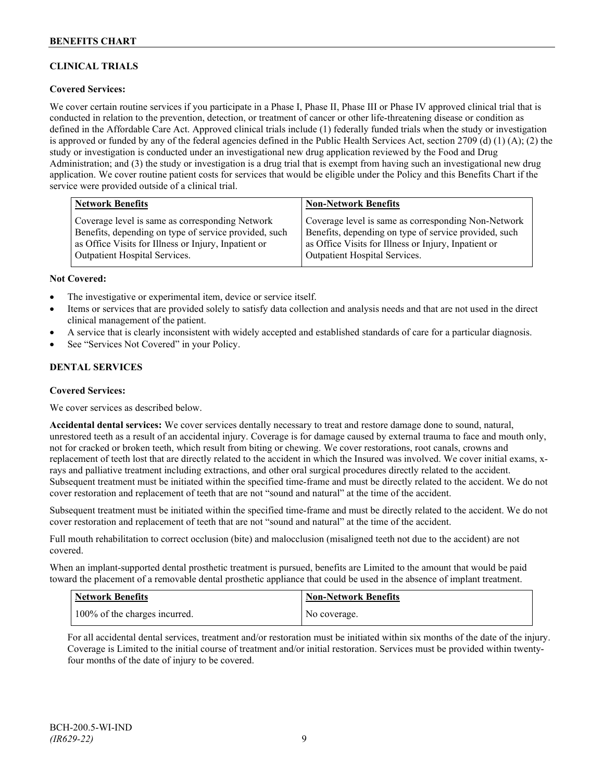## **CLINICAL TRIALS**

## **Covered Services:**

We cover certain routine services if you participate in a Phase I, Phase II, Phase III or Phase IV approved clinical trial that is conducted in relation to the prevention, detection, or treatment of cancer or other life-threatening disease or condition as defined in the Affordable Care Act. Approved clinical trials include (1) federally funded trials when the study or investigation is approved or funded by any of the federal agencies defined in the Public Health Services Act, section 2709 (d) (1) (A); (2) the study or investigation is conducted under an investigational new drug application reviewed by the Food and Drug Administration; and (3) the study or investigation is a drug trial that is exempt from having such an investigational new drug application. We cover routine patient costs for services that would be eligible under the Policy and this Benefits Chart if the service were provided outside of a clinical trial.

| <b>Network Benefits</b>                               | <b>Non-Network Benefits</b>                           |
|-------------------------------------------------------|-------------------------------------------------------|
| Coverage level is same as corresponding Network       | Coverage level is same as corresponding Non-Network   |
| Benefits, depending on type of service provided, such | Benefits, depending on type of service provided, such |
| as Office Visits for Illness or Injury, Inpatient or  | as Office Visits for Illness or Injury, Inpatient or  |
| <b>Outpatient Hospital Services.</b>                  | Outpatient Hospital Services.                         |

#### **Not Covered:**

- The investigative or experimental item, device or service itself.
- Items or services that are provided solely to satisfy data collection and analysis needs and that are not used in the direct clinical management of the patient.
- A service that is clearly inconsistent with widely accepted and established standards of care for a particular diagnosis.
- See "Services Not Covered" in your Policy.

## **DENTAL SERVICES**

#### **Covered Services:**

We cover services as described below.

**Accidental dental services:** We cover services dentally necessary to treat and restore damage done to sound, natural, unrestored teeth as a result of an accidental injury. Coverage is for damage caused by external trauma to face and mouth only, not for cracked or broken teeth, which result from biting or chewing. We cover restorations, root canals, crowns and replacement of teeth lost that are directly related to the accident in which the Insured was involved. We cover initial exams, xrays and palliative treatment including extractions, and other oral surgical procedures directly related to the accident. Subsequent treatment must be initiated within the specified time-frame and must be directly related to the accident. We do not cover restoration and replacement of teeth that are not "sound and natural" at the time of the accident.

Subsequent treatment must be initiated within the specified time-frame and must be directly related to the accident. We do not cover restoration and replacement of teeth that are not "sound and natural" at the time of the accident.

Full mouth rehabilitation to correct occlusion (bite) and malocclusion (misaligned teeth not due to the accident) are not covered.

When an implant-supported dental prosthetic treatment is pursued, benefits are Limited to the amount that would be paid toward the placement of a removable dental prosthetic appliance that could be used in the absence of implant treatment.

| <b>Network Benefits</b>       | <b>Non-Network Benefits</b> |
|-------------------------------|-----------------------------|
| 100% of the charges incurred. | No coverage.                |

For all accidental dental services, treatment and/or restoration must be initiated within six months of the date of the injury. Coverage is Limited to the initial course of treatment and/or initial restoration. Services must be provided within twentyfour months of the date of injury to be covered.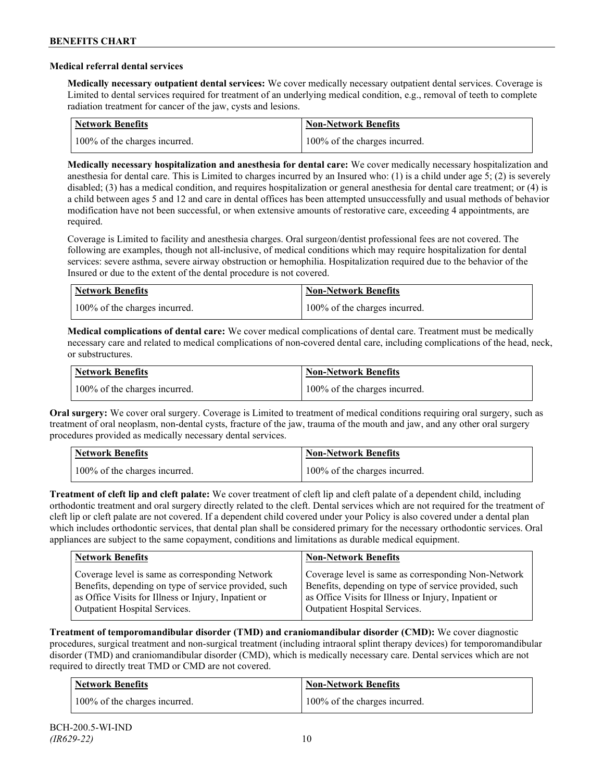### **Medical referral dental services**

**Medically necessary outpatient dental services:** We cover medically necessary outpatient dental services. Coverage is Limited to dental services required for treatment of an underlying medical condition, e.g., removal of teeth to complete radiation treatment for cancer of the jaw, cysts and lesions.

| Network Benefits              | <b>Non-Network Benefits</b>   |
|-------------------------------|-------------------------------|
| 100% of the charges incurred. | 100% of the charges incurred. |

**Medically necessary hospitalization and anesthesia for dental care:** We cover medically necessary hospitalization and anesthesia for dental care. This is Limited to charges incurred by an Insured who: (1) is a child under age 5; (2) is severely disabled; (3) has a medical condition, and requires hospitalization or general anesthesia for dental care treatment; or (4) is a child between ages 5 and 12 and care in dental offices has been attempted unsuccessfully and usual methods of behavior modification have not been successful, or when extensive amounts of restorative care, exceeding 4 appointments, are required.

Coverage is Limited to facility and anesthesia charges. Oral surgeon/dentist professional fees are not covered. The following are examples, though not all-inclusive, of medical conditions which may require hospitalization for dental services: severe asthma, severe airway obstruction or hemophilia. Hospitalization required due to the behavior of the Insured or due to the extent of the dental procedure is not covered.

| Network Benefits              | <b>Non-Network Benefits</b>   |
|-------------------------------|-------------------------------|
| 100% of the charges incurred. | 100% of the charges incurred. |

**Medical complications of dental care:** We cover medical complications of dental care. Treatment must be medically necessary care and related to medical complications of non-covered dental care, including complications of the head, neck, or substructures.

| Network Benefits              | Non-Network Benefits          |
|-------------------------------|-------------------------------|
| 100% of the charges incurred. | 100% of the charges incurred. |

**Oral surgery:** We cover oral surgery. Coverage is Limited to treatment of medical conditions requiring oral surgery, such as treatment of oral neoplasm, non-dental cysts, fracture of the jaw, trauma of the mouth and jaw, and any other oral surgery procedures provided as medically necessary dental services.

| <b>Network Benefits</b>       | <b>Non-Network Benefits</b>   |
|-------------------------------|-------------------------------|
| 100% of the charges incurred. | 100% of the charges incurred. |

**Treatment of cleft lip and cleft palate:** We cover treatment of cleft lip and cleft palate of a dependent child, including orthodontic treatment and oral surgery directly related to the cleft. Dental services which are not required for the treatment of cleft lip or cleft palate are not covered. If a dependent child covered under your Policy is also covered under a dental plan which includes orthodontic services, that dental plan shall be considered primary for the necessary orthodontic services. Oral appliances are subject to the same copayment, conditions and limitations as durable medical equipment.

| <b>Network Benefits</b>                               | <b>Non-Network Benefits</b>                           |
|-------------------------------------------------------|-------------------------------------------------------|
| Coverage level is same as corresponding Network       | Coverage level is same as corresponding Non-Network   |
| Benefits, depending on type of service provided, such | Benefits, depending on type of service provided, such |
| as Office Visits for Illness or Injury, Inpatient or  | as Office Visits for Illness or Injury, Inpatient or  |
| Outpatient Hospital Services.                         | Outpatient Hospital Services.                         |

**Treatment of temporomandibular disorder (TMD) and craniomandibular disorder (CMD):** We cover diagnostic procedures, surgical treatment and non-surgical treatment (including intraoral splint therapy devices) for temporomandibular disorder (TMD) and craniomandibular disorder (CMD), which is medically necessary care. Dental services which are not required to directly treat TMD or CMD are not covered.

| <b>Network Benefits</b>       | <b>Non-Network Benefits</b>   |
|-------------------------------|-------------------------------|
| 100% of the charges incurred. | 100% of the charges incurred. |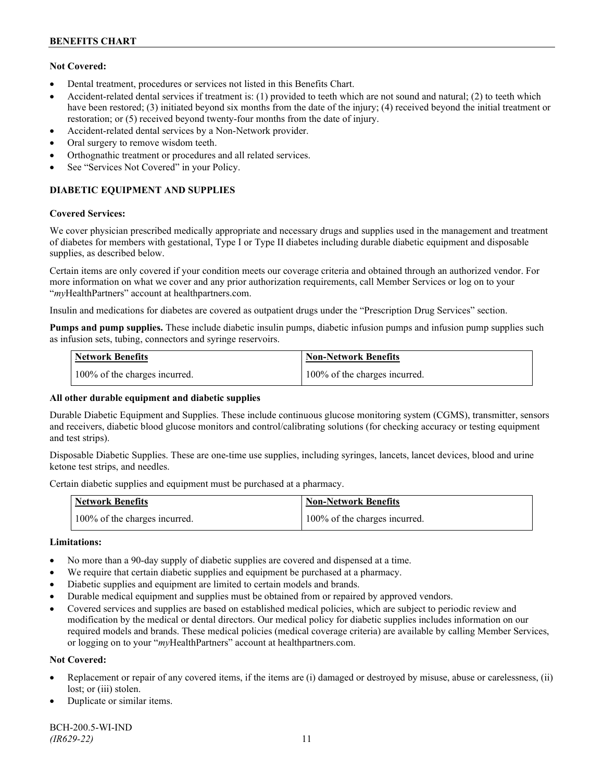## **Not Covered:**

- Dental treatment, procedures or services not listed in this Benefits Chart.
- Accident-related dental services if treatment is: (1) provided to teeth which are not sound and natural; (2) to teeth which have been restored; (3) initiated beyond six months from the date of the injury; (4) received beyond the initial treatment or restoration; or (5) received beyond twenty-four months from the date of injury.
- Accident-related dental services by a Non-Network provider.
- Oral surgery to remove wisdom teeth.
- Orthognathic treatment or procedures and all related services.
- See "Services Not Covered" in your Policy.

## **DIABETIC EQUIPMENT AND SUPPLIES**

#### **Covered Services:**

We cover physician prescribed medically appropriate and necessary drugs and supplies used in the management and treatment of diabetes for members with gestational, Type I or Type II diabetes including durable diabetic equipment and disposable supplies, as described below.

Certain items are only covered if your condition meets our coverage criteria and obtained through an authorized vendor. For more information on what we cover and any prior authorization requirements, call Member Services or log on to your "*my*HealthPartners" account at [healthpartners.com.](http://www.healthpartners.com/)

Insulin and medications for diabetes are covered as outpatient drugs under the "Prescription Drug Services" section.

**Pumps and pump supplies.** These include diabetic insulin pumps, diabetic infusion pumps and infusion pump supplies such as infusion sets, tubing, connectors and syringe reservoirs.

| <b>Network Benefits</b>       | <b>Non-Network Benefits</b>   |
|-------------------------------|-------------------------------|
| 100% of the charges incurred. | 100% of the charges incurred. |

## **All other durable equipment and diabetic supplies**

Durable Diabetic Equipment and Supplies. These include continuous glucose monitoring system (CGMS), transmitter, sensors and receivers, diabetic blood glucose monitors and control/calibrating solutions (for checking accuracy or testing equipment and test strips).

Disposable Diabetic Supplies. These are one-time use supplies, including syringes, lancets, lancet devices, blood and urine ketone test strips, and needles.

Certain diabetic supplies and equipment must be purchased at a pharmacy.

| <b>Network Benefits</b>       | <b>Non-Network Benefits</b>   |
|-------------------------------|-------------------------------|
| 100% of the charges incurred. | 100% of the charges incurred. |

## **Limitations:**

- No more than a 90-day supply of diabetic supplies are covered and dispensed at a time.
- We require that certain diabetic supplies and equipment be purchased at a pharmacy.
- Diabetic supplies and equipment are limited to certain models and brands.
- Durable medical equipment and supplies must be obtained from or repaired by approved vendors.
- Covered services and supplies are based on established medical policies, which are subject to periodic review and modification by the medical or dental directors. Our medical policy for diabetic supplies includes information on our required models and brands. These medical policies (medical coverage criteria) are available by calling Member Services, or logging on to your "*my*HealthPartners" account at healthpartners.com.

## **Not Covered:**

- Replacement or repair of any covered items, if the items are (i) damaged or destroyed by misuse, abuse or carelessness, (ii) lost; or (iii) stolen.
- Duplicate or similar items.

BCH-200.5-WI-IND *(IR629-22)* 11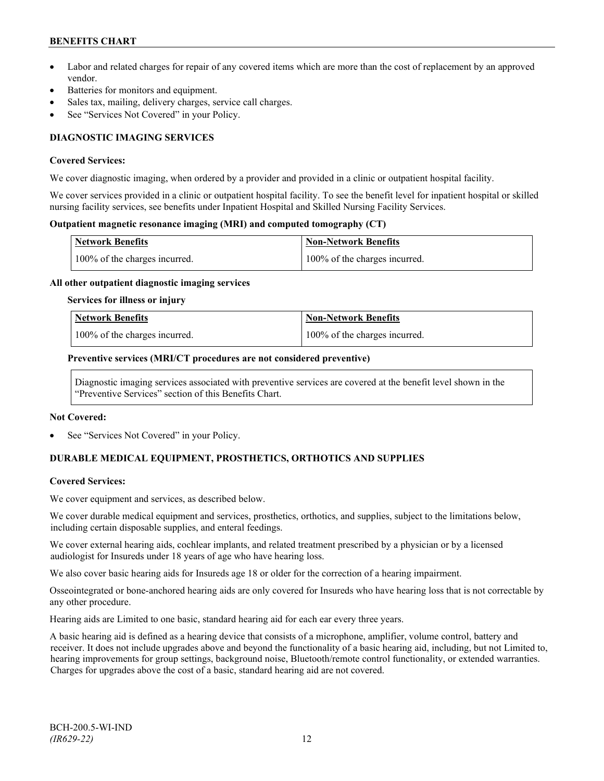- Labor and related charges for repair of any covered items which are more than the cost of replacement by an approved vendor.
- Batteries for monitors and equipment.
- Sales tax, mailing, delivery charges, service call charges.
- See "Services Not Covered" in your Policy.

## **DIAGNOSTIC IMAGING SERVICES**

#### **Covered Services:**

We cover diagnostic imaging, when ordered by a provider and provided in a clinic or outpatient hospital facility.

We cover services provided in a clinic or outpatient hospital facility. To see the benefit level for inpatient hospital or skilled nursing facility services, see benefits under Inpatient Hospital and Skilled Nursing Facility Services.

### **Outpatient magnetic resonance imaging (MRI) and computed tomography (CT)**

| <b>Network Benefits</b>       | <b>Non-Network Benefits</b>   |
|-------------------------------|-------------------------------|
| 100% of the charges incurred. | 100% of the charges incurred. |

#### **All other outpatient diagnostic imaging services**

#### **Services for illness or injury**

| <b>Network Benefits</b>       | <b>Non-Network Benefits</b>      |
|-------------------------------|----------------------------------|
| 100% of the charges incurred. | $100\%$ of the charges incurred. |

#### **Preventive services (MRI/CT procedures are not considered preventive)**

Diagnostic imaging services associated with preventive services are covered at the benefit level shown in the "Preventive Services" section of this Benefits Chart.

#### **Not Covered:**

See "Services Not Covered" in your Policy.

## **DURABLE MEDICAL EQUIPMENT, PROSTHETICS, ORTHOTICS AND SUPPLIES**

## **Covered Services:**

We cover equipment and services, as described below.

We cover durable medical equipment and services, prosthetics, orthotics, and supplies, subject to the limitations below, including certain disposable supplies, and enteral feedings.

We cover external hearing aids, cochlear implants, and related treatment prescribed by a physician or by a licensed audiologist for Insureds under 18 years of age who have hearing loss.

We also cover basic hearing aids for Insureds age 18 or older for the correction of a hearing impairment.

Osseointegrated or bone-anchored hearing aids are only covered for Insureds who have hearing loss that is not correctable by any other procedure.

Hearing aids are Limited to one basic, standard hearing aid for each ear every three years.

A basic hearing aid is defined as a hearing device that consists of a microphone, amplifier, volume control, battery and receiver. It does not include upgrades above and beyond the functionality of a basic hearing aid, including, but not Limited to, hearing improvements for group settings, background noise, Bluetooth/remote control functionality, or extended warranties. Charges for upgrades above the cost of a basic, standard hearing aid are not covered.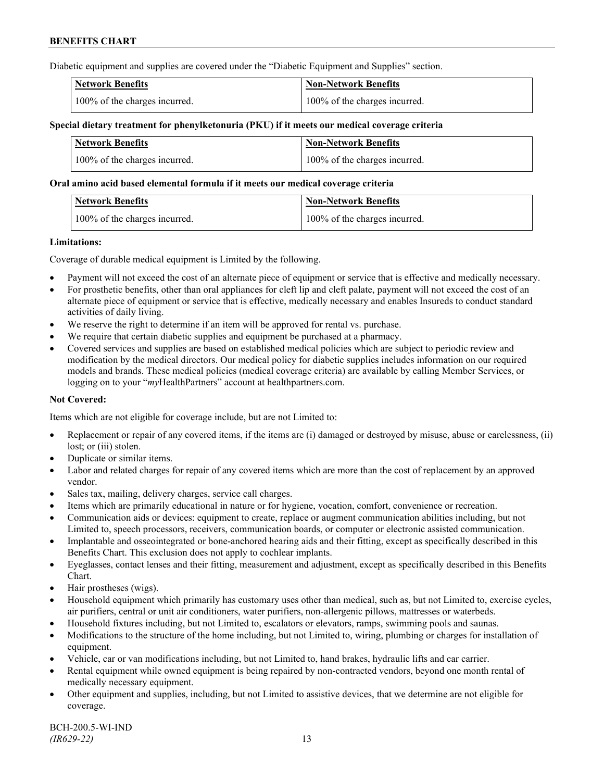Diabetic equipment and supplies are covered under the "Diabetic Equipment and Supplies" section.

| <b>Network Benefits</b>       | <b>Non-Network Benefits</b>   |
|-------------------------------|-------------------------------|
| 100% of the charges incurred. | 100% of the charges incurred. |

### **Special dietary treatment for phenylketonuria (PKU) if it meets our medical coverage criteria**

| <b>Network Benefits</b>       | <b>Non-Network Benefits</b>   |
|-------------------------------|-------------------------------|
| 100% of the charges incurred. | 100% of the charges incurred. |

#### **Oral amino acid based elemental formula if it meets our medical coverage criteria**

| Network Benefits              | Non-Network Benefits          |
|-------------------------------|-------------------------------|
| 100% of the charges incurred. | 100% of the charges incurred. |

#### **Limitations:**

Coverage of durable medical equipment is Limited by the following.

- Payment will not exceed the cost of an alternate piece of equipment or service that is effective and medically necessary.
- For prosthetic benefits, other than oral appliances for cleft lip and cleft palate, payment will not exceed the cost of an alternate piece of equipment or service that is effective, medically necessary and enables Insureds to conduct standard activities of daily living.
- We reserve the right to determine if an item will be approved for rental vs. purchase.
- We require that certain diabetic supplies and equipment be purchased at a pharmacy.
- Covered services and supplies are based on established medical policies which are subject to periodic review and modification by the medical directors. Our medical policy for diabetic supplies includes information on our required models and brands. These medical policies (medical coverage criteria) are available by calling Member Services, or logging on to your "*my*HealthPartners" account at [healthpartners.com.](http://www.healthpartners.com/)

## **Not Covered:**

Items which are not eligible for coverage include, but are not Limited to:

- Replacement or repair of any covered items, if the items are (i) damaged or destroyed by misuse, abuse or carelessness, (ii) lost; or (iii) stolen.
- Duplicate or similar items.
- Labor and related charges for repair of any covered items which are more than the cost of replacement by an approved vendor.
- Sales tax, mailing, delivery charges, service call charges.
- Items which are primarily educational in nature or for hygiene, vocation, comfort, convenience or recreation.
- Communication aids or devices: equipment to create, replace or augment communication abilities including, but not Limited to, speech processors, receivers, communication boards, or computer or electronic assisted communication.
- Implantable and osseointegrated or bone-anchored hearing aids and their fitting, except as specifically described in this Benefits Chart. This exclusion does not apply to cochlear implants.
- Eyeglasses, contact lenses and their fitting, measurement and adjustment, except as specifically described in this Benefits Chart.
- Hair prostheses (wigs).
- Household equipment which primarily has customary uses other than medical, such as, but not Limited to, exercise cycles, air purifiers, central or unit air conditioners, water purifiers, non-allergenic pillows, mattresses or waterbeds.
- Household fixtures including, but not Limited to, escalators or elevators, ramps, swimming pools and saunas.
- Modifications to the structure of the home including, but not Limited to, wiring, plumbing or charges for installation of equipment.
- Vehicle, car or van modifications including, but not Limited to, hand brakes, hydraulic lifts and car carrier.
- Rental equipment while owned equipment is being repaired by non-contracted vendors, beyond one month rental of medically necessary equipment.
- Other equipment and supplies, including, but not Limited to assistive devices, that we determine are not eligible for coverage.

BCH-200.5-WI-IND *(IR629-22)* 13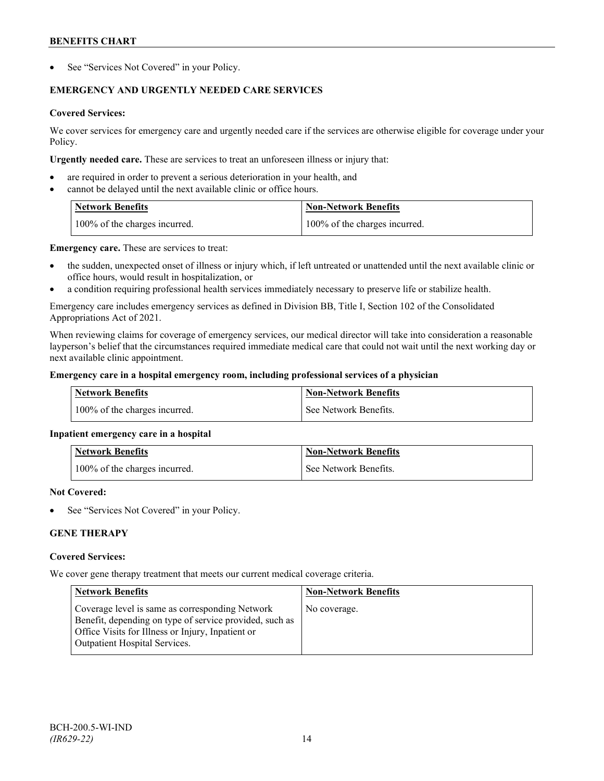See "Services Not Covered" in your Policy.

## **EMERGENCY AND URGENTLY NEEDED CARE SERVICES**

## **Covered Services:**

We cover services for emergency care and urgently needed care if the services are otherwise eligible for coverage under your Policy.

**Urgently needed care.** These are services to treat an unforeseen illness or injury that:

- are required in order to prevent a serious deterioration in your health, and
- cannot be delayed until the next available clinic or office hours.

| <b>Network Benefits</b>       | <b>Non-Network Benefits</b>   |
|-------------------------------|-------------------------------|
| 100% of the charges incurred. | 100% of the charges incurred. |

**Emergency care.** These are services to treat:

- the sudden, unexpected onset of illness or injury which, if left untreated or unattended until the next available clinic or office hours, would result in hospitalization, or
- a condition requiring professional health services immediately necessary to preserve life or stabilize health.

Emergency care includes emergency services as defined in Division BB, Title I, Section 102 of the Consolidated Appropriations Act of 2021.

When reviewing claims for coverage of emergency services, our medical director will take into consideration a reasonable layperson's belief that the circumstances required immediate medical care that could not wait until the next working day or next available clinic appointment.

## **Emergency care in a hospital emergency room, including professional services of a physician**

| Network Benefits              | <b>Non-Network Benefits</b> |
|-------------------------------|-----------------------------|
| 100% of the charges incurred. | See Network Benefits.       |

## **Inpatient emergency care in a hospital**

| <b>Network Benefits</b>       | <b>Non-Network Benefits</b> |
|-------------------------------|-----------------------------|
| 100% of the charges incurred. | See Network Benefits.       |

## **Not Covered:**

See "Services Not Covered" in your Policy.

## **GENE THERAPY**

## **Covered Services:**

We cover gene therapy treatment that meets our current medical coverage criteria.

| <b>Network Benefits</b>                                                                                                                                                                                 | <b>Non-Network Benefits</b> |
|---------------------------------------------------------------------------------------------------------------------------------------------------------------------------------------------------------|-----------------------------|
| Coverage level is same as corresponding Network<br>Benefit, depending on type of service provided, such as<br>Office Visits for Illness or Injury, Inpatient or<br><b>Outpatient Hospital Services.</b> | No coverage.                |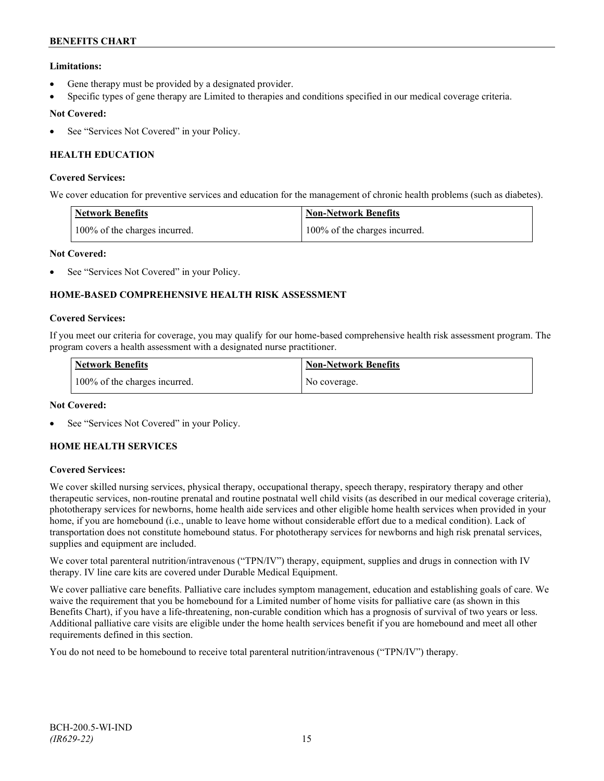## **Limitations:**

- Gene therapy must be provided by a designated provider.
- Specific types of gene therapy are Limited to therapies and conditions specified in our medical coverage criteria.

## **Not Covered:**

See "Services Not Covered" in your Policy.

## **HEALTH EDUCATION**

### **Covered Services:**

We cover education for preventive services and education for the management of chronic health problems (such as diabetes).

| <b>Network Benefits</b>       | <b>Non-Network Benefits</b>   |
|-------------------------------|-------------------------------|
| 100% of the charges incurred. | 100% of the charges incurred. |

## **Not Covered:**

See "Services Not Covered" in your Policy.

## **HOME-BASED COMPREHENSIVE HEALTH RISK ASSESSMENT**

#### **Covered Services:**

If you meet our criteria for coverage, you may qualify for our home-based comprehensive health risk assessment program. The program covers a health assessment with a designated nurse practitioner.

| <b>Network Benefits</b>       | <b>Non-Network Benefits</b> |
|-------------------------------|-----------------------------|
| 100% of the charges incurred. | No coverage.                |

## **Not Covered:**

See "Services Not Covered" in your Policy.

## **HOME HEALTH SERVICES**

## **Covered Services:**

We cover skilled nursing services, physical therapy, occupational therapy, speech therapy, respiratory therapy and other therapeutic services, non-routine prenatal and routine postnatal well child visits (as described in our medical coverage criteria), phototherapy services for newborns, home health aide services and other eligible home health services when provided in your home, if you are homebound (i.e., unable to leave home without considerable effort due to a medical condition). Lack of transportation does not constitute homebound status. For phototherapy services for newborns and high risk prenatal services, supplies and equipment are included.

We cover total parenteral nutrition/intravenous ("TPN/IV") therapy, equipment, supplies and drugs in connection with IV therapy. IV line care kits are covered under Durable Medical Equipment.

We cover palliative care benefits. Palliative care includes symptom management, education and establishing goals of care. We waive the requirement that you be homebound for a Limited number of home visits for palliative care (as shown in this Benefits Chart), if you have a life-threatening, non-curable condition which has a prognosis of survival of two years or less. Additional palliative care visits are eligible under the home health services benefit if you are homebound and meet all other requirements defined in this section.

You do not need to be homebound to receive total parenteral nutrition/intravenous ("TPN/IV") therapy.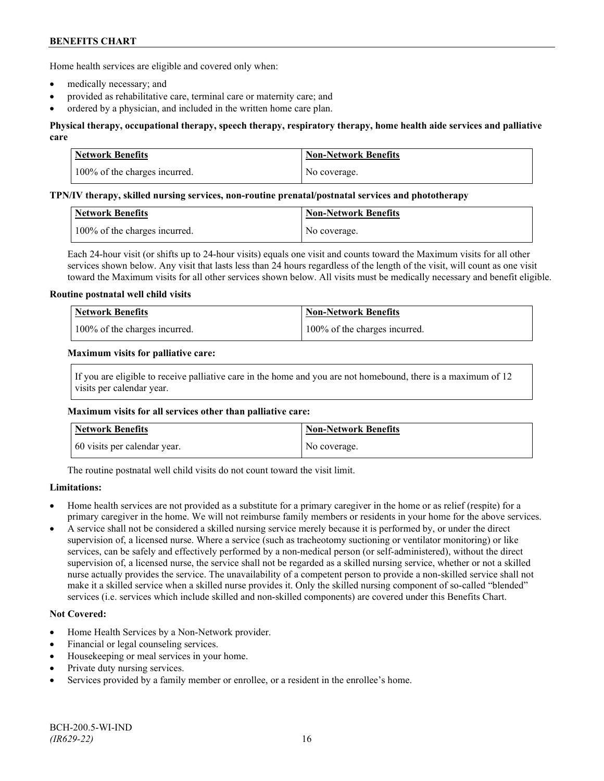Home health services are eligible and covered only when:

- medically necessary; and
- provided as rehabilitative care, terminal care or maternity care; and
- ordered by a physician, and included in the written home care plan.

## **Physical therapy, occupational therapy, speech therapy, respiratory therapy, home health aide services and palliative care**

| <b>Network Benefits</b>       | <b>Non-Network Benefits</b> |
|-------------------------------|-----------------------------|
| 100% of the charges incurred. | No coverage.                |

#### **TPN/IV therapy, skilled nursing services, non-routine prenatal/postnatal services and phototherapy**

| Network Benefits              | Non-Network Benefits |
|-------------------------------|----------------------|
| 100% of the charges incurred. | No coverage.         |

Each 24-hour visit (or shifts up to 24-hour visits) equals one visit and counts toward the Maximum visits for all other services shown below. Any visit that lasts less than 24 hours regardless of the length of the visit, will count as one visit toward the Maximum visits for all other services shown below. All visits must be medically necessary and benefit eligible.

#### **Routine postnatal well child visits**

| <b>Network Benefits</b>       | Non-Network Benefits          |
|-------------------------------|-------------------------------|
| 100% of the charges incurred. | 100% of the charges incurred. |

#### **Maximum visits for palliative care:**

If you are eligible to receive palliative care in the home and you are not homebound, there is a maximum of 12 visits per calendar year.

#### **Maximum visits for all services other than palliative care:**

| Network Benefits             | <b>Non-Network Benefits</b> |
|------------------------------|-----------------------------|
| 60 visits per calendar year. | No coverage.                |

The routine postnatal well child visits do not count toward the visit limit.

## **Limitations:**

- Home health services are not provided as a substitute for a primary caregiver in the home or as relief (respite) for a primary caregiver in the home. We will not reimburse family members or residents in your home for the above services.
- A service shall not be considered a skilled nursing service merely because it is performed by, or under the direct supervision of, a licensed nurse. Where a service (such as tracheotomy suctioning or ventilator monitoring) or like services, can be safely and effectively performed by a non-medical person (or self-administered), without the direct supervision of, a licensed nurse, the service shall not be regarded as a skilled nursing service, whether or not a skilled nurse actually provides the service. The unavailability of a competent person to provide a non-skilled service shall not make it a skilled service when a skilled nurse provides it. Only the skilled nursing component of so-called "blended" services (i.e. services which include skilled and non-skilled components) are covered under this Benefits Chart.

## **Not Covered:**

- Home Health Services by a Non-Network provider.
- Financial or legal counseling services.
- Housekeeping or meal services in your home.
- Private duty nursing services.
- Services provided by a family member or enrollee, or a resident in the enrollee's home.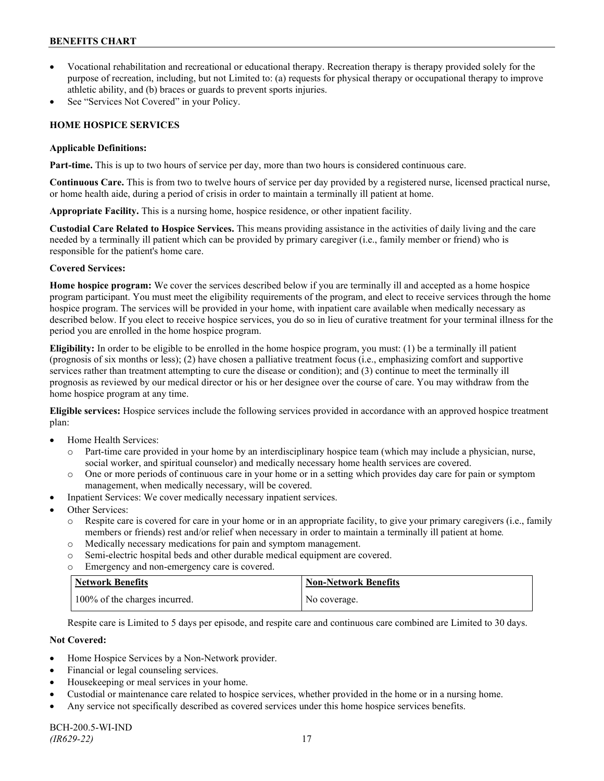- Vocational rehabilitation and recreational or educational therapy. Recreation therapy is therapy provided solely for the purpose of recreation, including, but not Limited to: (a) requests for physical therapy or occupational therapy to improve athletic ability, and (b) braces or guards to prevent sports injuries.
- See "Services Not Covered" in your Policy.

## **HOME HOSPICE SERVICES**

### **Applicable Definitions:**

**Part-time.** This is up to two hours of service per day, more than two hours is considered continuous care.

**Continuous Care.** This is from two to twelve hours of service per day provided by a registered nurse, licensed practical nurse, or home health aide, during a period of crisis in order to maintain a terminally ill patient at home.

**Appropriate Facility.** This is a nursing home, hospice residence, or other inpatient facility.

**Custodial Care Related to Hospice Services.** This means providing assistance in the activities of daily living and the care needed by a terminally ill patient which can be provided by primary caregiver (i.e., family member or friend) who is responsible for the patient's home care.

## **Covered Services:**

**Home hospice program:** We cover the services described below if you are terminally ill and accepted as a home hospice program participant. You must meet the eligibility requirements of the program, and elect to receive services through the home hospice program. The services will be provided in your home, with inpatient care available when medically necessary as described below. If you elect to receive hospice services, you do so in lieu of curative treatment for your terminal illness for the period you are enrolled in the home hospice program.

**Eligibility:** In order to be eligible to be enrolled in the home hospice program, you must: (1) be a terminally ill patient (prognosis of six months or less); (2) have chosen a palliative treatment focus (i.e., emphasizing comfort and supportive services rather than treatment attempting to cure the disease or condition); and (3) continue to meet the terminally ill prognosis as reviewed by our medical director or his or her designee over the course of care. You may withdraw from the home hospice program at any time.

**Eligible services:** Hospice services include the following services provided in accordance with an approved hospice treatment plan:

- Home Health Services:
	- o Part-time care provided in your home by an interdisciplinary hospice team (which may include a physician, nurse, social worker, and spiritual counselor) and medically necessary home health services are covered.
	- o One or more periods of continuous care in your home or in a setting which provides day care for pain or symptom management, when medically necessary, will be covered.
- Inpatient Services: We cover medically necessary inpatient services.
- Other Services:
	- o Respite care is covered for care in your home or in an appropriate facility, to give your primary caregivers (i.e., family members or friends) rest and/or relief when necessary in order to maintain a terminally ill patient at home*.*
	- o Medically necessary medications for pain and symptom management.
	- o Semi-electric hospital beds and other durable medical equipment are covered.
	- o Emergency and non-emergency care is covered.

| <b>Network Benefits</b>       | <b>Non-Network Benefits</b> |
|-------------------------------|-----------------------------|
| 100% of the charges incurred. | No coverage.                |

Respite care is Limited to 5 days per episode, and respite care and continuous care combined are Limited to 30 days.

## **Not Covered:**

- Home Hospice Services by a Non-Network provider.
- Financial or legal counseling services.
- Housekeeping or meal services in your home.
- Custodial or maintenance care related to hospice services, whether provided in the home or in a nursing home.
- Any service not specifically described as covered services under this home hospice services benefits.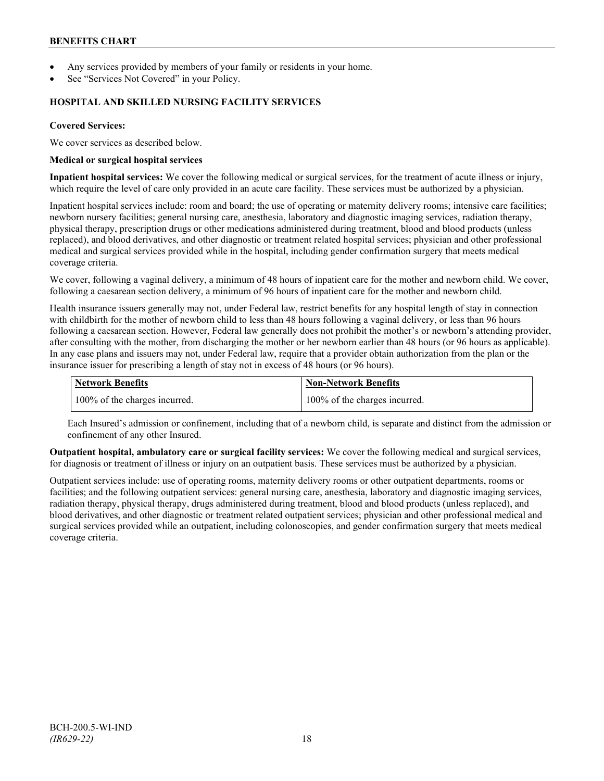- Any services provided by members of your family or residents in your home.
- See "Services Not Covered" in your Policy.

### **HOSPITAL AND SKILLED NURSING FACILITY SERVICES**

### **Covered Services:**

We cover services as described below.

#### **Medical or surgical hospital services**

**Inpatient hospital services:** We cover the following medical or surgical services, for the treatment of acute illness or injury, which require the level of care only provided in an acute care facility. These services must be authorized by a physician.

Inpatient hospital services include: room and board; the use of operating or maternity delivery rooms; intensive care facilities; newborn nursery facilities; general nursing care, anesthesia, laboratory and diagnostic imaging services, radiation therapy, physical therapy, prescription drugs or other medications administered during treatment, blood and blood products (unless replaced), and blood derivatives, and other diagnostic or treatment related hospital services; physician and other professional medical and surgical services provided while in the hospital, including gender confirmation surgery that meets medical coverage criteria.

We cover, following a vaginal delivery, a minimum of 48 hours of inpatient care for the mother and newborn child. We cover, following a caesarean section delivery, a minimum of 96 hours of inpatient care for the mother and newborn child.

Health insurance issuers generally may not, under Federal law, restrict benefits for any hospital length of stay in connection with childbirth for the mother of newborn child to less than 48 hours following a vaginal delivery, or less than 96 hours following a caesarean section. However, Federal law generally does not prohibit the mother's or newborn's attending provider, after consulting with the mother, from discharging the mother or her newborn earlier than 48 hours (or 96 hours as applicable). In any case plans and issuers may not, under Federal law, require that a provider obtain authorization from the plan or the insurance issuer for prescribing a length of stay not in excess of 48 hours (or 96 hours).

| <b>Network Benefits</b>       | Non-Network Benefits          |
|-------------------------------|-------------------------------|
| 100% of the charges incurred. | 100% of the charges incurred. |

Each Insured's admission or confinement, including that of a newborn child, is separate and distinct from the admission or confinement of any other Insured.

**Outpatient hospital, ambulatory care or surgical facility services:** We cover the following medical and surgical services, for diagnosis or treatment of illness or injury on an outpatient basis. These services must be authorized by a physician.

Outpatient services include: use of operating rooms, maternity delivery rooms or other outpatient departments, rooms or facilities; and the following outpatient services: general nursing care, anesthesia, laboratory and diagnostic imaging services, radiation therapy, physical therapy, drugs administered during treatment, blood and blood products (unless replaced), and blood derivatives, and other diagnostic or treatment related outpatient services; physician and other professional medical and surgical services provided while an outpatient, including colonoscopies, and gender confirmation surgery that meets medical coverage criteria.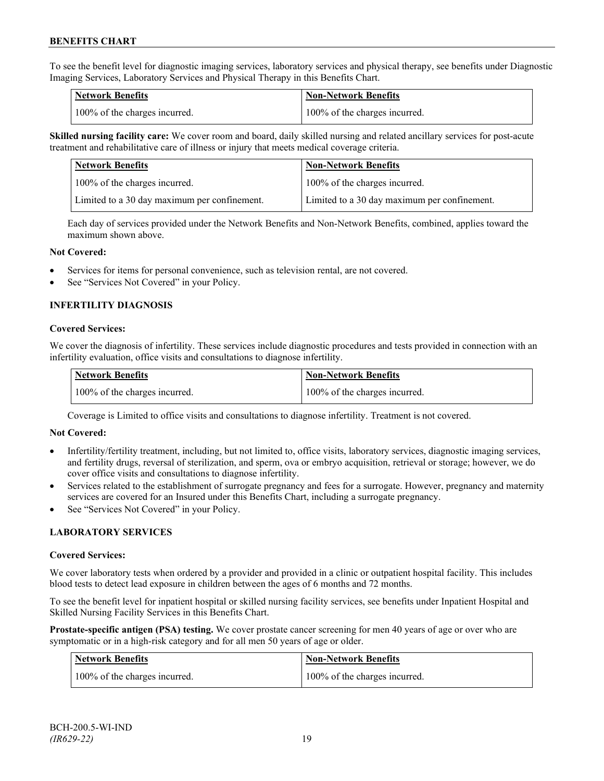To see the benefit level for diagnostic imaging services, laboratory services and physical therapy, see benefits under Diagnostic Imaging Services, Laboratory Services and Physical Therapy in this Benefits Chart.

| <b>Network Benefits</b>       | <b>Non-Network Benefits</b>   |
|-------------------------------|-------------------------------|
| 100% of the charges incurred. | 100% of the charges incurred. |

**Skilled nursing facility care:** We cover room and board, daily skilled nursing and related ancillary services for post-acute treatment and rehabilitative care of illness or injury that meets medical coverage criteria.

| Network Benefits                             | <b>Non-Network Benefits</b>                  |
|----------------------------------------------|----------------------------------------------|
| 100% of the charges incurred.                | 100% of the charges incurred.                |
| Limited to a 30 day maximum per confinement. | Limited to a 30 day maximum per confinement. |

Each day of services provided under the Network Benefits and Non-Network Benefits, combined, applies toward the maximum shown above.

#### **Not Covered:**

- Services for items for personal convenience, such as television rental, are not covered.
- See "Services Not Covered" in your Policy.

## **INFERTILITY DIAGNOSIS**

#### **Covered Services:**

We cover the diagnosis of infertility. These services include diagnostic procedures and tests provided in connection with an infertility evaluation, office visits and consultations to diagnose infertility.

| <b>Network Benefits</b>       | Non-Network Benefits          |
|-------------------------------|-------------------------------|
| 100% of the charges incurred. | 100% of the charges incurred. |

Coverage is Limited to office visits and consultations to diagnose infertility. Treatment is not covered.

#### **Not Covered:**

- Infertility/fertility treatment, including, but not limited to, office visits, laboratory services, diagnostic imaging services, and fertility drugs, reversal of sterilization, and sperm, ova or embryo acquisition, retrieval or storage; however, we do cover office visits and consultations to diagnose infertility.
- Services related to the establishment of surrogate pregnancy and fees for a surrogate. However, pregnancy and maternity services are covered for an Insured under this Benefits Chart, including a surrogate pregnancy.
- See "Services Not Covered" in your Policy.

## **LABORATORY SERVICES**

#### **Covered Services:**

We cover laboratory tests when ordered by a provider and provided in a clinic or outpatient hospital facility. This includes blood tests to detect lead exposure in children between the ages of 6 months and 72 months.

To see the benefit level for inpatient hospital or skilled nursing facility services, see benefits under Inpatient Hospital and Skilled Nursing Facility Services in this Benefits Chart.

**Prostate-specific antigen (PSA) testing.** We cover prostate cancer screening for men 40 years of age or over who are symptomatic or in a high-risk category and for all men 50 years of age or older.

| <b>Network Benefits</b>       | <b>Non-Network Benefits</b>   |
|-------------------------------|-------------------------------|
| 100% of the charges incurred. | 100% of the charges incurred. |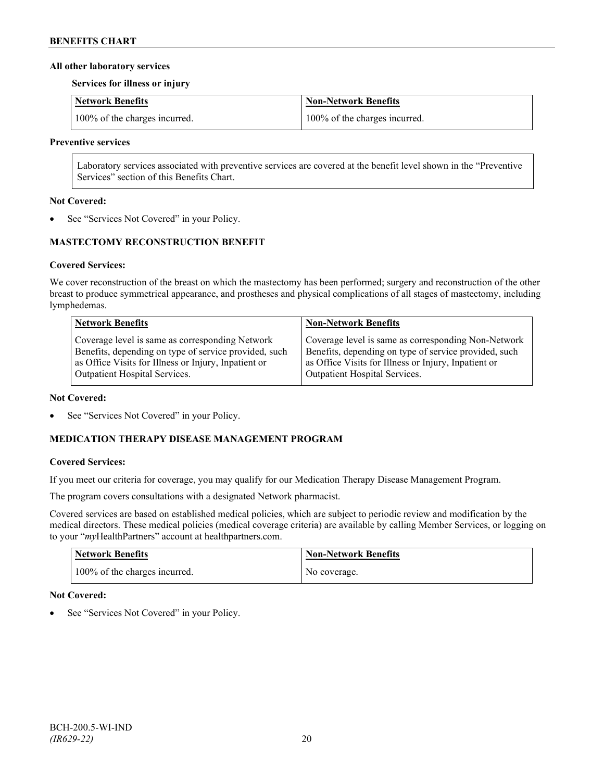### **All other laboratory services**

**Services for illness or injury**

| Network Benefits              | Non-Network Benefits          |
|-------------------------------|-------------------------------|
| 100% of the charges incurred. | 100% of the charges incurred. |

#### **Preventive services**

Laboratory services associated with preventive services are covered at the benefit level shown in the "Preventive Services" section of this Benefits Chart.

#### **Not Covered:**

See "Services Not Covered" in your Policy.

## **MASTECTOMY RECONSTRUCTION BENEFIT**

## **Covered Services:**

We cover reconstruction of the breast on which the mastectomy has been performed; surgery and reconstruction of the other breast to produce symmetrical appearance, and prostheses and physical complications of all stages of mastectomy, including lymphedemas.

| <b>Network Benefits</b>                               | <b>Non-Network Benefits</b>                           |
|-------------------------------------------------------|-------------------------------------------------------|
| Coverage level is same as corresponding Network       | Coverage level is same as corresponding Non-Network   |
| Benefits, depending on type of service provided, such | Benefits, depending on type of service provided, such |
| as Office Visits for Illness or Injury, Inpatient or  | as Office Visits for Illness or Injury, Inpatient or  |
| Outpatient Hospital Services.                         | Outpatient Hospital Services.                         |

#### **Not Covered:**

See "Services Not Covered" in your Policy.

## **MEDICATION THERAPY DISEASE MANAGEMENT PROGRAM**

## **Covered Services:**

If you meet our criteria for coverage, you may qualify for our Medication Therapy Disease Management Program.

The program covers consultations with a designated Network pharmacist.

Covered services are based on established medical policies, which are subject to periodic review and modification by the medical directors. These medical policies (medical coverage criteria) are available by calling Member Services, or logging on to your "*my*HealthPartners" account at [healthpartners.com.](http://www.healthpartners.com/)

| <b>Network Benefits</b>       | <b>Non-Network Benefits</b> |
|-------------------------------|-----------------------------|
| 100% of the charges incurred. | No coverage.                |

## **Not Covered:**

See "Services Not Covered" in your Policy.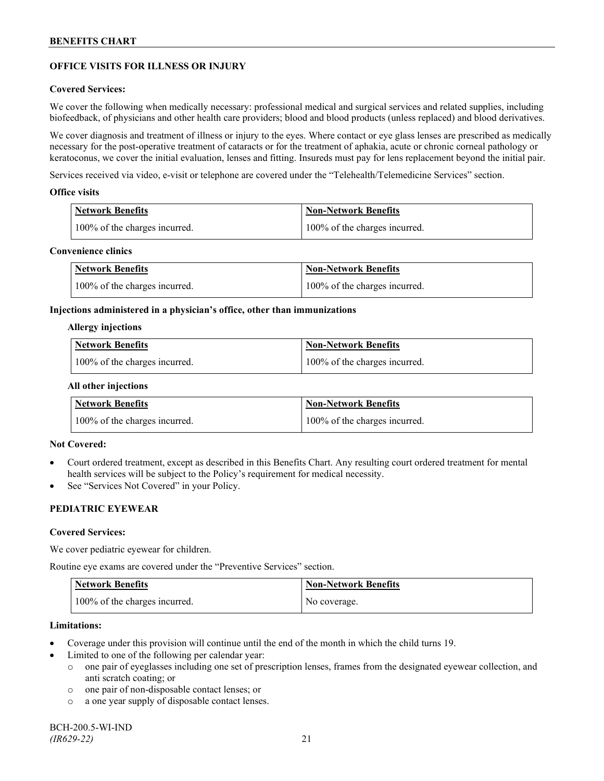## **OFFICE VISITS FOR ILLNESS OR INJURY**

### **Covered Services:**

We cover the following when medically necessary: professional medical and surgical services and related supplies, including biofeedback, of physicians and other health care providers; blood and blood products (unless replaced) and blood derivatives.

We cover diagnosis and treatment of illness or injury to the eyes. Where contact or eye glass lenses are prescribed as medically necessary for the post-operative treatment of cataracts or for the treatment of aphakia, acute or chronic corneal pathology or keratoconus, we cover the initial evaluation, lenses and fitting. Insureds must pay for lens replacement beyond the initial pair.

Services received via video, e-visit or telephone are covered under the "Telehealth/Telemedicine Services" section.

#### **Office visits**

| Network Benefits              | <b>Non-Network Benefits</b>   |
|-------------------------------|-------------------------------|
| 100% of the charges incurred. | 100% of the charges incurred. |

### **Convenience clinics**

| <b>Network Benefits</b>       | <b>Non-Network Benefits</b>   |
|-------------------------------|-------------------------------|
| 100% of the charges incurred. | 100% of the charges incurred. |

#### **Injections administered in a physician's office, other than immunizations**

#### **Allergy injections**

| <b>Network Benefits</b>       | Non-Network Benefits          |
|-------------------------------|-------------------------------|
| 100% of the charges incurred. | 100% of the charges incurred. |

#### **All other injections**

| <b>Network Benefits</b>       | <b>Non-Network Benefits</b>   |
|-------------------------------|-------------------------------|
| 100% of the charges incurred. | 100% of the charges incurred. |

## **Not Covered:**

- Court ordered treatment, except as described in this Benefits Chart. Any resulting court ordered treatment for mental health services will be subject to the Policy's requirement for medical necessity.
- See "Services Not Covered" in your Policy.

## **PEDIATRIC EYEWEAR**

#### **Covered Services:**

We cover pediatric eyewear for children.

Routine eye exams are covered under the "Preventive Services" section.

| <b>Network Benefits</b>       | <b>Non-Network Benefits</b> |
|-------------------------------|-----------------------------|
| 100% of the charges incurred. | No coverage.                |

#### **Limitations:**

- Coverage under this provision will continue until the end of the month in which the child turns 19.
- Limited to one of the following per calendar year:
	- o one pair of eyeglasses including one set of prescription lenses, frames from the designated eyewear collection, and anti scratch coating; or
	- o one pair of non-disposable contact lenses; or
	- o a one year supply of disposable contact lenses.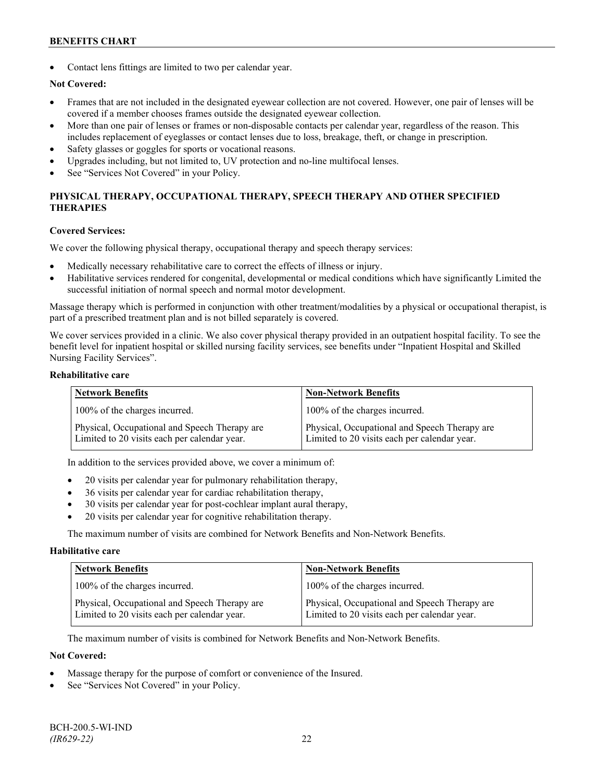Contact lens fittings are limited to two per calendar year.

## **Not Covered:**

- Frames that are not included in the designated eyewear collection are not covered. However, one pair of lenses will be covered if a member chooses frames outside the designated eyewear collection.
- More than one pair of lenses or frames or non-disposable contacts per calendar year, regardless of the reason. This includes replacement of eyeglasses or contact lenses due to loss, breakage, theft, or change in prescription.
- Safety glasses or goggles for sports or vocational reasons.
- Upgrades including, but not limited to, UV protection and no-line multifocal lenses.
- See "Services Not Covered" in your Policy.

## **PHYSICAL THERAPY, OCCUPATIONAL THERAPY, SPEECH THERAPY AND OTHER SPECIFIED THERAPIES**

#### **Covered Services:**

We cover the following physical therapy, occupational therapy and speech therapy services:

- Medically necessary rehabilitative care to correct the effects of illness or injury.
- Habilitative services rendered for congenital, developmental or medical conditions which have significantly Limited the successful initiation of normal speech and normal motor development.

Massage therapy which is performed in conjunction with other treatment/modalities by a physical or occupational therapist, is part of a prescribed treatment plan and is not billed separately is covered.

We cover services provided in a clinic. We also cover physical therapy provided in an outpatient hospital facility. To see the benefit level for inpatient hospital or skilled nursing facility services, see benefits under "Inpatient Hospital and Skilled Nursing Facility Services".

### **Rehabilitative care**

| <b>Network Benefits</b>                                                                       | <b>Non-Network Benefits</b>                                                                   |
|-----------------------------------------------------------------------------------------------|-----------------------------------------------------------------------------------------------|
| 100% of the charges incurred.                                                                 | 100% of the charges incurred.                                                                 |
| Physical, Occupational and Speech Therapy are<br>Limited to 20 visits each per calendar year. | Physical, Occupational and Speech Therapy are<br>Limited to 20 visits each per calendar year. |

In addition to the services provided above, we cover a minimum of:

- 20 visits per calendar year for pulmonary rehabilitation therapy,
- 36 visits per calendar year for cardiac rehabilitation therapy,
- 30 visits per calendar year for post-cochlear implant aural therapy,
- 20 visits per calendar year for cognitive rehabilitation therapy.

The maximum number of visits are combined for Network Benefits and Non-Network Benefits.

#### **Habilitative care**

| <b>Network Benefits</b>                                                                       | <b>Non-Network Benefits</b>                                                                   |
|-----------------------------------------------------------------------------------------------|-----------------------------------------------------------------------------------------------|
| 100% of the charges incurred.                                                                 | 100% of the charges incurred.                                                                 |
| Physical, Occupational and Speech Therapy are<br>Limited to 20 visits each per calendar year. | Physical, Occupational and Speech Therapy are<br>Limited to 20 visits each per calendar year. |

The maximum number of visits is combined for Network Benefits and Non-Network Benefits.

#### **Not Covered:**

- Massage therapy for the purpose of comfort or convenience of the Insured.
- See "Services Not Covered" in your Policy.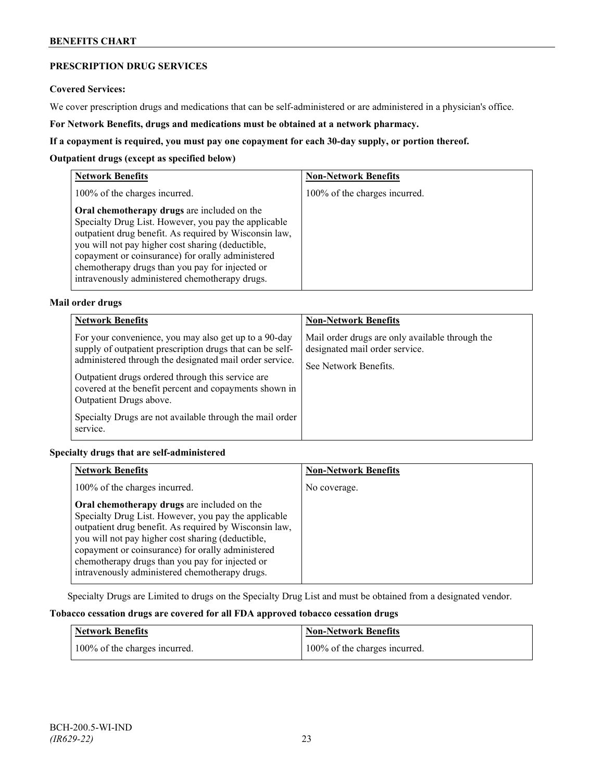## **PRESCRIPTION DRUG SERVICES**

#### **Covered Services:**

We cover prescription drugs and medications that can be self-administered or are administered in a physician's office.

**For Network Benefits, drugs and medications must be obtained at a network pharmacy.**

### **If a copayment is required, you must pay one copayment for each 30-day supply, or portion thereof.**

### **Outpatient drugs (except as specified below)**

| <b>Network Benefits</b>                                                                                                                                                                                                                                                                                                                                                      | <b>Non-Network Benefits</b>   |
|------------------------------------------------------------------------------------------------------------------------------------------------------------------------------------------------------------------------------------------------------------------------------------------------------------------------------------------------------------------------------|-------------------------------|
| 100% of the charges incurred.                                                                                                                                                                                                                                                                                                                                                | 100% of the charges incurred. |
| Oral chemotherapy drugs are included on the<br>Specialty Drug List. However, you pay the applicable<br>outpatient drug benefit. As required by Wisconsin law,<br>you will not pay higher cost sharing (deductible,<br>copayment or coinsurance) for orally administered<br>chemotherapy drugs than you pay for injected or<br>intravenously administered chemotherapy drugs. |                               |

## **Mail order drugs**

| <b>Network Benefits</b>                                                                                                                                                                                                                                                                                                                                                                          | <b>Non-Network Benefits</b>                                                                                |
|--------------------------------------------------------------------------------------------------------------------------------------------------------------------------------------------------------------------------------------------------------------------------------------------------------------------------------------------------------------------------------------------------|------------------------------------------------------------------------------------------------------------|
| For your convenience, you may also get up to a 90-day<br>supply of outpatient prescription drugs that can be self-<br>administered through the designated mail order service.<br>Outpatient drugs ordered through this service are.<br>covered at the benefit percent and copayments shown in<br>Outpatient Drugs above.<br>Specialty Drugs are not available through the mail order<br>service. | Mail order drugs are only available through the<br>designated mail order service.<br>See Network Benefits. |

## **Specialty drugs that are self-administered**

| <b>Network Benefits</b>                                                                                                                                                                                                                                                                                                                                                      | <b>Non-Network Benefits</b> |
|------------------------------------------------------------------------------------------------------------------------------------------------------------------------------------------------------------------------------------------------------------------------------------------------------------------------------------------------------------------------------|-----------------------------|
| 100% of the charges incurred.                                                                                                                                                                                                                                                                                                                                                | No coverage.                |
| Oral chemotherapy drugs are included on the<br>Specialty Drug List. However, you pay the applicable<br>outpatient drug benefit. As required by Wisconsin law,<br>you will not pay higher cost sharing (deductible,<br>copayment or coinsurance) for orally administered<br>chemotherapy drugs than you pay for injected or<br>intravenously administered chemotherapy drugs. |                             |

Specialty Drugs are Limited to drugs on the Specialty Drug List and must be obtained from a designated vendor.

## **Tobacco cessation drugs are covered for all FDA approved tobacco cessation drugs**

| Network Benefits              | <b>Non-Network Benefits</b>   |
|-------------------------------|-------------------------------|
| 100% of the charges incurred. | 100% of the charges incurred. |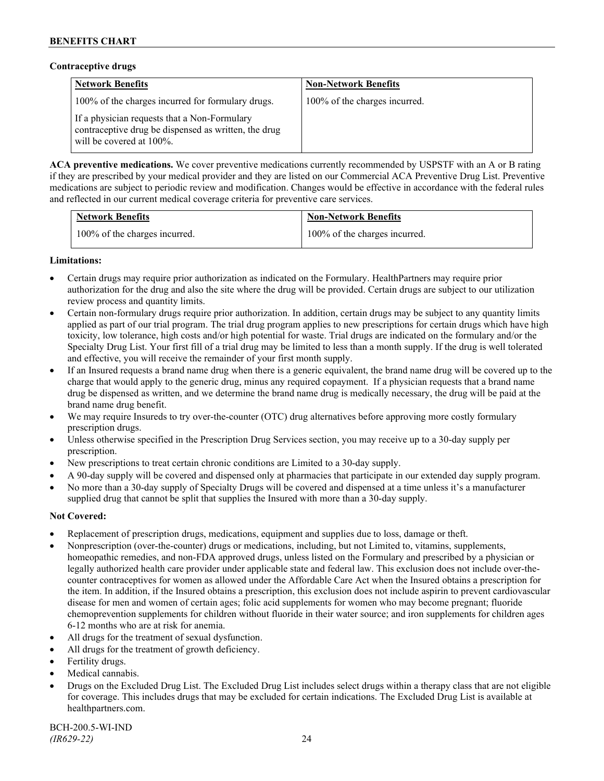### **Contraceptive drugs**

| <b>Network Benefits</b>                                                                                                              | <b>Non-Network Benefits</b>   |
|--------------------------------------------------------------------------------------------------------------------------------------|-------------------------------|
| 100% of the charges incurred for formulary drugs.                                                                                    | 100% of the charges incurred. |
| If a physician requests that a Non-Formulary<br>contraceptive drug be dispensed as written, the drug<br>will be covered at $100\%$ . |                               |

**ACA preventive medications.** We cover preventive medications currently recommended by USPSTF with an A or B rating if they are prescribed by your medical provider and they are listed on our Commercial ACA Preventive Drug List. Preventive medications are subject to periodic review and modification. Changes would be effective in accordance with the federal rules and reflected in our current medical coverage criteria for preventive care services.

| <b>Network Benefits</b>       | <b>Non-Network Benefits</b>   |
|-------------------------------|-------------------------------|
| 100% of the charges incurred. | 100% of the charges incurred. |

## **Limitations:**

- Certain drugs may require prior authorization as indicated on the Formulary. HealthPartners may require prior authorization for the drug and also the site where the drug will be provided. Certain drugs are subject to our utilization review process and quantity limits.
- Certain non-formulary drugs require prior authorization. In addition, certain drugs may be subject to any quantity limits applied as part of our trial program. The trial drug program applies to new prescriptions for certain drugs which have high toxicity, low tolerance, high costs and/or high potential for waste. Trial drugs are indicated on the formulary and/or the Specialty Drug List. Your first fill of a trial drug may be limited to less than a month supply. If the drug is well tolerated and effective, you will receive the remainder of your first month supply.
- If an Insured requests a brand name drug when there is a generic equivalent, the brand name drug will be covered up to the charge that would apply to the generic drug, minus any required copayment. If a physician requests that a brand name drug be dispensed as written, and we determine the brand name drug is medically necessary, the drug will be paid at the brand name drug benefit.
- We may require Insureds to try over-the-counter (OTC) drug alternatives before approving more costly formulary prescription drugs.
- Unless otherwise specified in the Prescription Drug Services section, you may receive up to a 30-day supply per prescription.
- New prescriptions to treat certain chronic conditions are Limited to a 30-day supply.
- A 90-day supply will be covered and dispensed only at pharmacies that participate in our extended day supply program.
- No more than a 30-day supply of Specialty Drugs will be covered and dispensed at a time unless it's a manufacturer supplied drug that cannot be split that supplies the Insured with more than a 30-day supply.

## **Not Covered:**

- Replacement of prescription drugs, medications, equipment and supplies due to loss, damage or theft.
- Nonprescription (over-the-counter) drugs or medications, including, but not Limited to, vitamins, supplements, homeopathic remedies, and non-FDA approved drugs, unless listed on the Formulary and prescribed by a physician or legally authorized health care provider under applicable state and federal law. This exclusion does not include over-thecounter contraceptives for women as allowed under the Affordable Care Act when the Insured obtains a prescription for the item. In addition, if the Insured obtains a prescription, this exclusion does not include aspirin to prevent cardiovascular disease for men and women of certain ages; folic acid supplements for women who may become pregnant; fluoride chemoprevention supplements for children without fluoride in their water source; and iron supplements for children ages 6-12 months who are at risk for anemia.
- All drugs for the treatment of sexual dysfunction.
- All drugs for the treatment of growth deficiency.
- Fertility drugs.
- Medical cannabis.
- Drugs on the Excluded Drug List. The Excluded Drug List includes select drugs within a therapy class that are not eligible for coverage. This includes drugs that may be excluded for certain indications. The Excluded Drug List is available at [healthpartners.com.](http://www.healthpartners.com/)

BCH-200.5-WI-IND *(IR629-22)* 24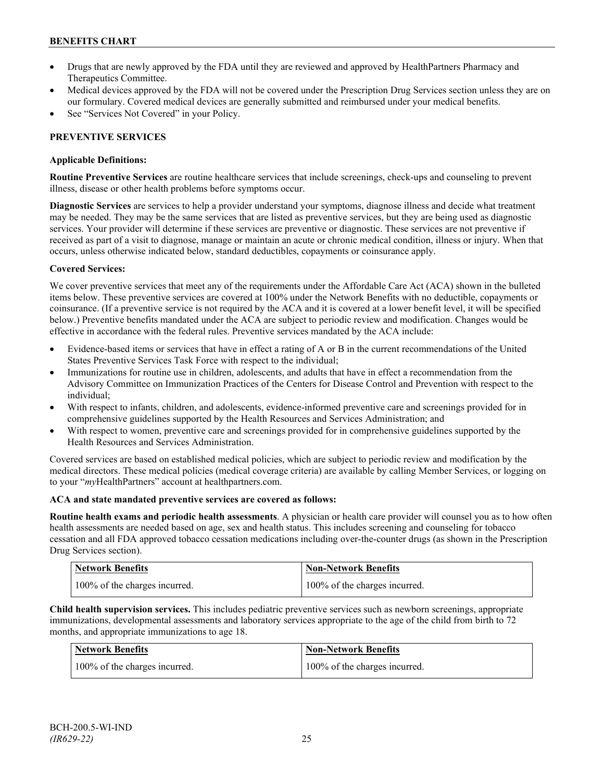- Drugs that are newly approved by the FDA until they are reviewed and approved by HealthPartners Pharmacy and Therapeutics Committee.
- Medical devices approved by the FDA will not be covered under the Prescription Drug Services section unless they are on our formulary. Covered medical devices are generally submitted and reimbursed under your medical benefits.
- See "Services Not Covered" in your Policy.

## **PREVENTIVE SERVICES**

## **Applicable Definitions:**

**Routine Preventive Services** are routine healthcare services that include screenings, check-ups and counseling to prevent illness, disease or other health problems before symptoms occur.

**Diagnostic Services** are services to help a provider understand your symptoms, diagnose illness and decide what treatment may be needed. They may be the same services that are listed as preventive services, but they are being used as diagnostic services. Your provider will determine if these services are preventive or diagnostic. These services are not preventive if received as part of a visit to diagnose, manage or maintain an acute or chronic medical condition, illness or injury. When that occurs, unless otherwise indicated below, standard deductibles, copayments or coinsurance apply.

## **Covered Services:**

We cover preventive services that meet any of the requirements under the Affordable Care Act (ACA) shown in the bulleted items below. These preventive services are covered at 100% under the Network Benefits with no deductible, copayments or coinsurance. (If a preventive service is not required by the ACA and it is covered at a lower benefit level, it will be specified below.) Preventive benefits mandated under the ACA are subject to periodic review and modification. Changes would be effective in accordance with the federal rules. Preventive services mandated by the ACA include:

- Evidence-based items or services that have in effect a rating of A or B in the current recommendations of the United States Preventive Services Task Force with respect to the individual;
- Immunizations for routine use in children, adolescents, and adults that have in effect a recommendation from the Advisory Committee on Immunization Practices of the Centers for Disease Control and Prevention with respect to the individual;
- With respect to infants, children, and adolescents, evidence-informed preventive care and screenings provided for in comprehensive guidelines supported by the Health Resources and Services Administration; and
- With respect to women, preventive care and screenings provided for in comprehensive guidelines supported by the Health Resources and Services Administration.

Covered services are based on established medical policies, which are subject to periodic review and modification by the medical directors. These medical policies (medical coverage criteria) are available by calling Member Services, or logging on to your "*my*HealthPartners" account at [healthpartners.com.](http://www.healthpartners.com/)

## **ACA and state mandated preventive services are covered as follows:**

**Routine health exams and periodic health assessments**. A physician or health care provider will counsel you as to how often health assessments are needed based on age, sex and health status. This includes screening and counseling for tobacco cessation and all FDA approved tobacco cessation medications including over-the-counter drugs (as shown in the Prescription Drug Services section).

| <b>Network Benefits</b>       | <b>Non-Network Benefits</b>   |
|-------------------------------|-------------------------------|
| 100% of the charges incurred. | 100% of the charges incurred. |

**Child health supervision services.** This includes pediatric preventive services such as newborn screenings, appropriate immunizations, developmental assessments and laboratory services appropriate to the age of the child from birth to 72 months, and appropriate immunizations to age 18.

| <b>Network Benefits</b>       | <b>Non-Network Benefits</b>   |
|-------------------------------|-------------------------------|
| 100% of the charges incurred. | 100% of the charges incurred. |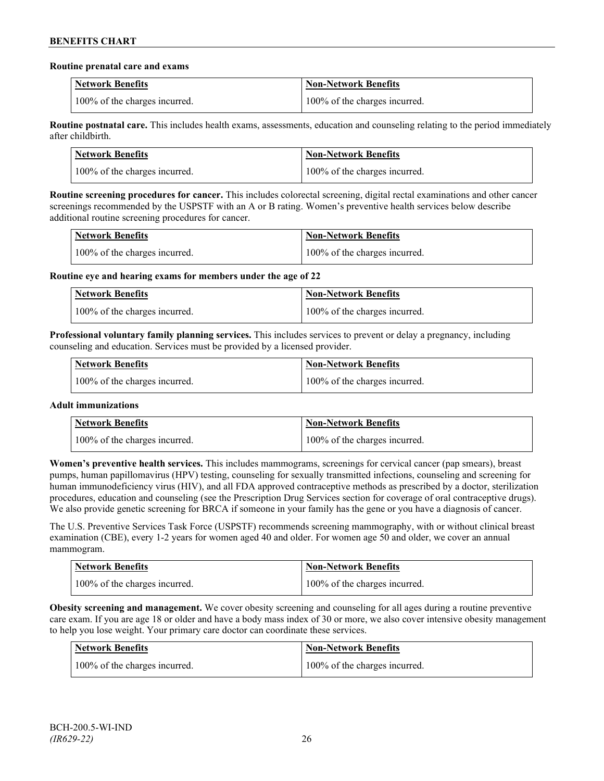#### **Routine prenatal care and exams**

| <b>Network Benefits</b>       | <b>Non-Network Benefits</b>   |
|-------------------------------|-------------------------------|
| 100% of the charges incurred. | 100% of the charges incurred. |

**Routine postnatal care.** This includes health exams, assessments, education and counseling relating to the period immediately after childbirth.

| <b>Network Benefits</b>       | <b>Non-Network Benefits</b>   |
|-------------------------------|-------------------------------|
| 100% of the charges incurred. | 100% of the charges incurred. |

**Routine screening procedures for cancer.** This includes colorectal screening, digital rectal examinations and other cancer screenings recommended by the USPSTF with an A or B rating. Women's preventive health services below describe additional routine screening procedures for cancer.

| Network Benefits              | <b>Non-Network Benefits</b>   |
|-------------------------------|-------------------------------|
| 100% of the charges incurred. | 100% of the charges incurred. |

**Routine eye and hearing exams for members under the age of 22**

| <b>Network Benefits</b>       | <b>Non-Network Benefits</b>   |
|-------------------------------|-------------------------------|
| 100% of the charges incurred. | 100% of the charges incurred. |

**Professional voluntary family planning services.** This includes services to prevent or delay a pregnancy, including counseling and education. Services must be provided by a licensed provider.

| Network Benefits              | <b>Non-Network Benefits</b>   |
|-------------------------------|-------------------------------|
| 100% of the charges incurred. | 100% of the charges incurred. |

## **Adult immunizations**

| <b>Network Benefits</b>       | <b>Non-Network Benefits</b>   |
|-------------------------------|-------------------------------|
| 100% of the charges incurred. | 100% of the charges incurred. |

**Women's preventive health services.** This includes mammograms, screenings for cervical cancer (pap smears), breast pumps, human papillomavirus (HPV) testing, counseling for sexually transmitted infections, counseling and screening for human immunodeficiency virus (HIV), and all FDA approved contraceptive methods as prescribed by a doctor, sterilization procedures, education and counseling (see the Prescription Drug Services section for coverage of oral contraceptive drugs). We also provide genetic screening for BRCA if someone in your family has the gene or you have a diagnosis of cancer.

The U.S. Preventive Services Task Force (USPSTF) recommends screening mammography, with or without clinical breast examination (CBE), every 1-2 years for women aged 40 and older. For women age 50 and older, we cover an annual mammogram.

| <b>Network Benefits</b>       | Non-Network Benefits          |
|-------------------------------|-------------------------------|
| 100% of the charges incurred. | 100% of the charges incurred. |

**Obesity screening and management.** We cover obesity screening and counseling for all ages during a routine preventive care exam. If you are age 18 or older and have a body mass index of 30 or more, we also cover intensive obesity management to help you lose weight. Your primary care doctor can coordinate these services.

| Network Benefits              | <b>Non-Network Benefits</b>   |
|-------------------------------|-------------------------------|
| 100% of the charges incurred. | 100% of the charges incurred. |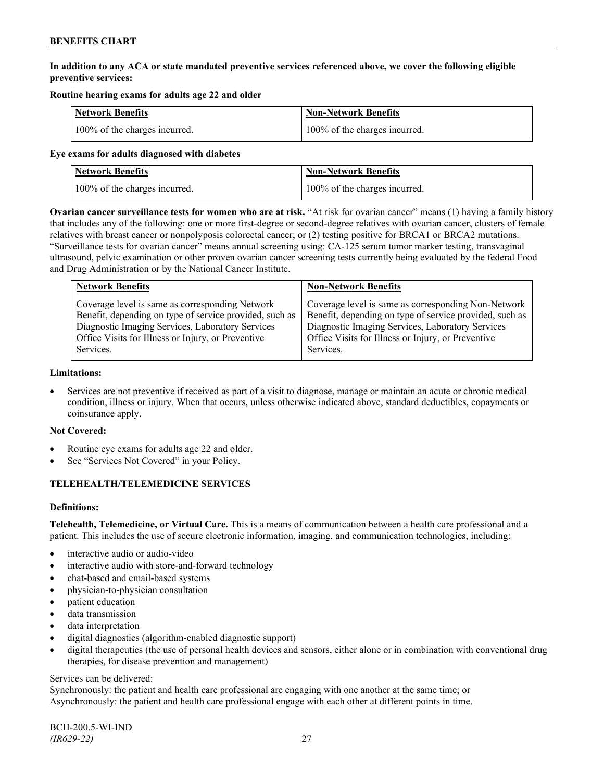## **In addition to any ACA or state mandated preventive services referenced above, we cover the following eligible preventive services:**

## **Routine hearing exams for adults age 22 and older**

| <b>Network Benefits</b>       | <b>Non-Network Benefits</b>   |
|-------------------------------|-------------------------------|
| 100% of the charges incurred. | 100% of the charges incurred. |

#### **Eye exams for adults diagnosed with diabetes**

| Network Benefits              | <b>Non-Network Benefits</b>   |
|-------------------------------|-------------------------------|
| 100% of the charges incurred. | 100% of the charges incurred. |

**Ovarian cancer surveillance tests for women who are at risk.** "At risk for ovarian cancer" means (1) having a family history that includes any of the following: one or more first-degree or second-degree relatives with ovarian cancer, clusters of female relatives with breast cancer or nonpolyposis colorectal cancer; or (2) testing positive for BRCA1 or BRCA2 mutations. "Surveillance tests for ovarian cancer" means annual screening using: CA-125 serum tumor marker testing, transvaginal ultrasound, pelvic examination or other proven ovarian cancer screening tests currently being evaluated by the federal Food and Drug Administration or by the National Cancer Institute.

| <b>Network Benefits</b>                                 | <b>Non-Network Benefits</b>                             |
|---------------------------------------------------------|---------------------------------------------------------|
| Coverage level is same as corresponding Network         | Coverage level is same as corresponding Non-Network     |
| Benefit, depending on type of service provided, such as | Benefit, depending on type of service provided, such as |
| Diagnostic Imaging Services, Laboratory Services        | Diagnostic Imaging Services, Laboratory Services        |
| Office Visits for Illness or Injury, or Preventive      | Office Visits for Illness or Injury, or Preventive      |
| Services.                                               | Services.                                               |

#### **Limitations:**

• Services are not preventive if received as part of a visit to diagnose, manage or maintain an acute or chronic medical condition, illness or injury. When that occurs, unless otherwise indicated above, standard deductibles, copayments or coinsurance apply.

## **Not Covered:**

- Routine eye exams for adults age 22 and older.
- See "Services Not Covered" in your Policy.

## **TELEHEALTH/TELEMEDICINE SERVICES**

## **Definitions:**

**Telehealth, Telemedicine, or Virtual Care.** This is a means of communication between a health care professional and a patient. This includes the use of secure electronic information, imaging, and communication technologies, including:

- interactive audio or audio-video
- interactive audio with store-and-forward technology
- chat-based and email-based systems
- physician-to-physician consultation
- patient education
- data transmission
- data interpretation
- digital diagnostics (algorithm-enabled diagnostic support)
- digital therapeutics (the use of personal health devices and sensors, either alone or in combination with conventional drug therapies, for disease prevention and management)

#### Services can be delivered:

Synchronously: the patient and health care professional are engaging with one another at the same time; or Asynchronously: the patient and health care professional engage with each other at different points in time.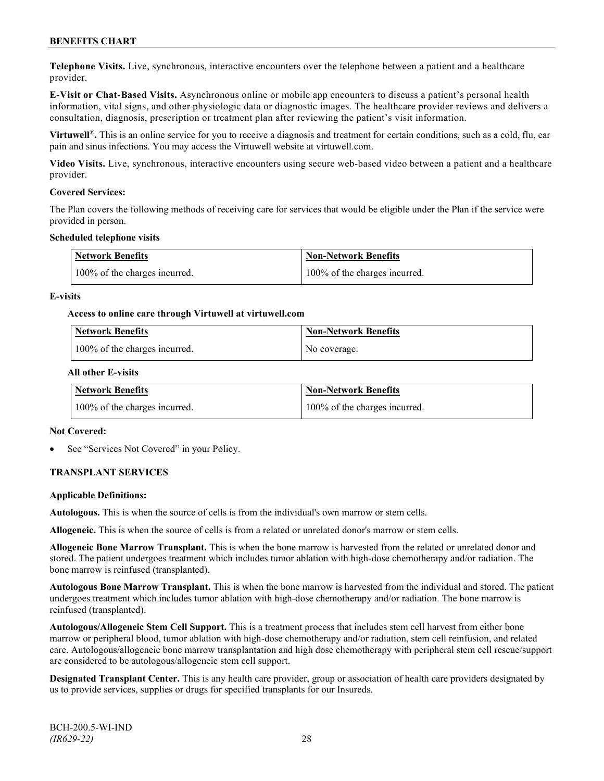**Telephone Visits.** Live, synchronous, interactive encounters over the telephone between a patient and a healthcare provider.

**E-Visit or Chat-Based Visits.** Asynchronous online or mobile app encounters to discuss a patient's personal health information, vital signs, and other physiologic data or diagnostic images. The healthcare provider reviews and delivers a consultation, diagnosis, prescription or treatment plan after reviewing the patient's visit information.

**Virtuwell<sup>®</sup>**. This is an online service for you to receive a diagnosis and treatment for certain conditions, such as a cold, flu, ear pain and sinus infections. You may access the Virtuwell website at [virtuwell.com.](https://www.virtuwell.com/)

**Video Visits.** Live, synchronous, interactive encounters using secure web-based video between a patient and a healthcare provider.

#### **Covered Services:**

The Plan covers the following methods of receiving care for services that would be eligible under the Plan if the service were provided in person.

#### **Scheduled telephone visits**

| <b>Network Benefits</b>       | <b>Non-Network Benefits</b>   |
|-------------------------------|-------------------------------|
| 100% of the charges incurred. | 100% of the charges incurred. |

#### **E-visits**

#### **Access to online care through Virtuwell at [virtuwell.com](http://www.virtuwell.com/)**

| Network Benefits              | <b>Non-Network Benefits</b> |
|-------------------------------|-----------------------------|
| 100% of the charges incurred. | No coverage.                |

#### **All other E-visits**

| Network Benefits              | <b>Non-Network Benefits</b>   |
|-------------------------------|-------------------------------|
| 100% of the charges incurred. | 100% of the charges incurred. |

#### **Not Covered:**

See "Services Not Covered" in your Policy.

## **TRANSPLANT SERVICES**

#### **Applicable Definitions:**

**Autologous.** This is when the source of cells is from the individual's own marrow or stem cells.

**Allogeneic.** This is when the source of cells is from a related or unrelated donor's marrow or stem cells.

**Allogeneic Bone Marrow Transplant.** This is when the bone marrow is harvested from the related or unrelated donor and stored. The patient undergoes treatment which includes tumor ablation with high-dose chemotherapy and/or radiation. The bone marrow is reinfused (transplanted).

**Autologous Bone Marrow Transplant.** This is when the bone marrow is harvested from the individual and stored. The patient undergoes treatment which includes tumor ablation with high-dose chemotherapy and/or radiation. The bone marrow is reinfused (transplanted).

**Autologous/Allogeneic Stem Cell Support.** This is a treatment process that includes stem cell harvest from either bone marrow or peripheral blood, tumor ablation with high-dose chemotherapy and/or radiation, stem cell reinfusion, and related care. Autologous/allogeneic bone marrow transplantation and high dose chemotherapy with peripheral stem cell rescue/support are considered to be autologous/allogeneic stem cell support.

**Designated Transplant Center.** This is any health care provider, group or association of health care providers designated by us to provide services, supplies or drugs for specified transplants for our Insureds.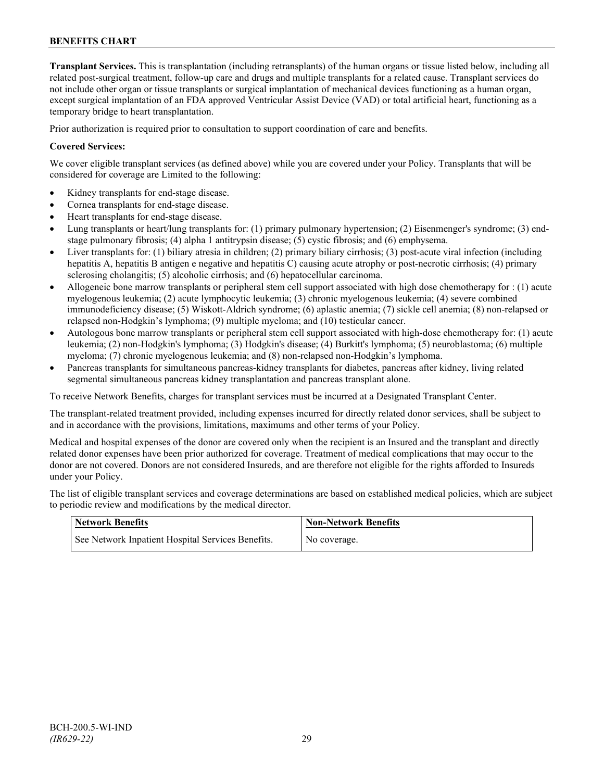**Transplant Services.** This is transplantation (including retransplants) of the human organs or tissue listed below, including all related post-surgical treatment, follow-up care and drugs and multiple transplants for a related cause. Transplant services do not include other organ or tissue transplants or surgical implantation of mechanical devices functioning as a human organ, except surgical implantation of an FDA approved Ventricular Assist Device (VAD) or total artificial heart, functioning as a temporary bridge to heart transplantation.

Prior authorization is required prior to consultation to support coordination of care and benefits.

### **Covered Services:**

We cover eligible transplant services (as defined above) while you are covered under your Policy. Transplants that will be considered for coverage are Limited to the following:

- Kidney transplants for end-stage disease.
- Cornea transplants for end-stage disease.
- Heart transplants for end-stage disease.
- Lung transplants or heart/lung transplants for: (1) primary pulmonary hypertension; (2) Eisenmenger's syndrome; (3) endstage pulmonary fibrosis; (4) alpha 1 antitrypsin disease; (5) cystic fibrosis; and (6) emphysema.
- Liver transplants for: (1) biliary atresia in children; (2) primary biliary cirrhosis; (3) post-acute viral infection (including hepatitis A, hepatitis B antigen e negative and hepatitis C) causing acute atrophy or post-necrotic cirrhosis; (4) primary sclerosing cholangitis; (5) alcoholic cirrhosis; and (6) hepatocellular carcinoma.
- Allogeneic bone marrow transplants or peripheral stem cell support associated with high dose chemotherapy for : (1) acute myelogenous leukemia; (2) acute lymphocytic leukemia; (3) chronic myelogenous leukemia; (4) severe combined immunodeficiency disease; (5) Wiskott-Aldrich syndrome; (6) aplastic anemia; (7) sickle cell anemia; (8) non-relapsed or relapsed non-Hodgkin's lymphoma; (9) multiple myeloma; and (10) testicular cancer.
- Autologous bone marrow transplants or peripheral stem cell support associated with high-dose chemotherapy for: (1) acute leukemia; (2) non-Hodgkin's lymphoma; (3) Hodgkin's disease; (4) Burkitt's lymphoma; (5) neuroblastoma; (6) multiple myeloma; (7) chronic myelogenous leukemia; and (8) non-relapsed non-Hodgkin's lymphoma.
- Pancreas transplants for simultaneous pancreas-kidney transplants for diabetes, pancreas after kidney, living related segmental simultaneous pancreas kidney transplantation and pancreas transplant alone.

To receive Network Benefits, charges for transplant services must be incurred at a Designated Transplant Center.

The transplant-related treatment provided, including expenses incurred for directly related donor services, shall be subject to and in accordance with the provisions, limitations, maximums and other terms of your Policy.

Medical and hospital expenses of the donor are covered only when the recipient is an Insured and the transplant and directly related donor expenses have been prior authorized for coverage. Treatment of medical complications that may occur to the donor are not covered. Donors are not considered Insureds, and are therefore not eligible for the rights afforded to Insureds under your Policy.

The list of eligible transplant services and coverage determinations are based on established medical policies, which are subject to periodic review and modifications by the medical director.

| <b>Network Benefits</b>                           | <b>Non-Network Benefits</b> |
|---------------------------------------------------|-----------------------------|
| See Network Inpatient Hospital Services Benefits. | No coverage.                |